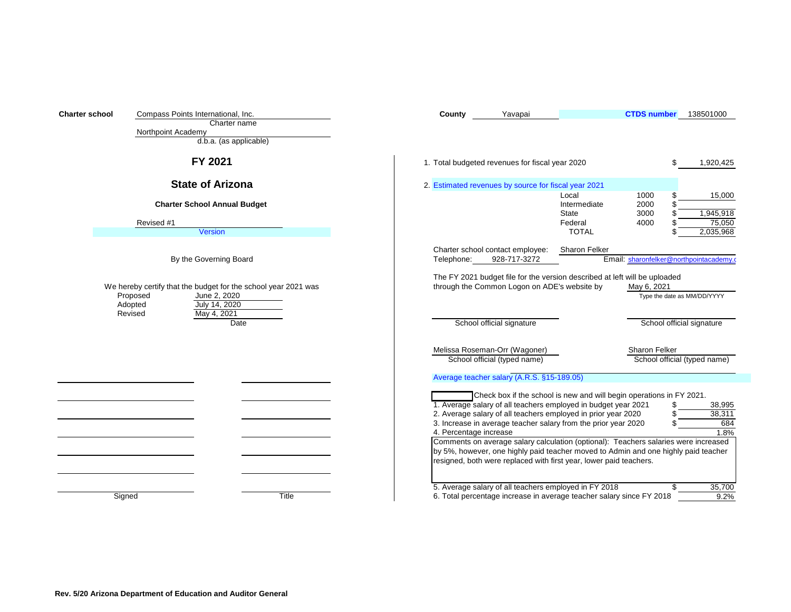| <b>Charter school</b> |                                                                | Compass Points International, Inc.  |  | County                                                                                                                     | Yavapai                                                                                                                                                                   |                              | <b>CTDS number</b>                      | 138501000                    |
|-----------------------|----------------------------------------------------------------|-------------------------------------|--|----------------------------------------------------------------------------------------------------------------------------|---------------------------------------------------------------------------------------------------------------------------------------------------------------------------|------------------------------|-----------------------------------------|------------------------------|
|                       |                                                                | Charter name                        |  |                                                                                                                            |                                                                                                                                                                           |                              |                                         |                              |
|                       | Northpoint Academy                                             | d.b.a. (as applicable)              |  |                                                                                                                            |                                                                                                                                                                           |                              |                                         |                              |
|                       |                                                                |                                     |  |                                                                                                                            |                                                                                                                                                                           |                              |                                         |                              |
|                       |                                                                | FY 2021                             |  |                                                                                                                            | 1. Total budgeted revenues for fiscal year 2020                                                                                                                           |                              |                                         | 1,920,425                    |
|                       |                                                                | <b>State of Arizona</b>             |  |                                                                                                                            | 2. Estimated revenues by source for fiscal year 2021                                                                                                                      | Local                        | 1000                                    | 15,000                       |
|                       |                                                                | <b>Charter School Annual Budget</b> |  |                                                                                                                            |                                                                                                                                                                           | Intermediate<br><b>State</b> | 2000<br>3000                            | 1,945,918                    |
|                       | Revised #1                                                     |                                     |  |                                                                                                                            |                                                                                                                                                                           | Federal                      | 4000                                    | 75,050                       |
|                       |                                                                | <b>Version</b>                      |  |                                                                                                                            |                                                                                                                                                                           | <b>TOTAL</b>                 |                                         | 2,035,968                    |
|                       |                                                                |                                     |  |                                                                                                                            | Charter school contact employee:                                                                                                                                          | Sharon Felker                |                                         |                              |
|                       |                                                                | By the Governing Board              |  | Telephone:                                                                                                                 | 928-717-3272                                                                                                                                                              |                              | Email: sharonfelker@northpointacademy.o |                              |
|                       |                                                                |                                     |  |                                                                                                                            |                                                                                                                                                                           |                              |                                         |                              |
|                       | We hereby certify that the budget for the school year 2021 was |                                     |  | The FY 2021 budget file for the version described at left will be uploaded<br>through the Common Logon on ADE's website by | May 6, 2021                                                                                                                                                               |                              |                                         |                              |
|                       | Proposed                                                       | June 2, 2020                        |  |                                                                                                                            |                                                                                                                                                                           |                              |                                         | Type the date as MM/DD/YYYY  |
|                       | Adopted                                                        | July 14, 2020                       |  |                                                                                                                            |                                                                                                                                                                           |                              |                                         |                              |
|                       | Revised                                                        | May 4, 2021<br>Date                 |  |                                                                                                                            | School official signature                                                                                                                                                 |                              |                                         | School official signature    |
|                       |                                                                |                                     |  |                                                                                                                            |                                                                                                                                                                           |                              |                                         |                              |
|                       |                                                                |                                     |  |                                                                                                                            | Melissa Roseman-Orr (Wagoner)                                                                                                                                             |                              | Sharon Felker                           |                              |
|                       |                                                                |                                     |  |                                                                                                                            | School official (typed name)                                                                                                                                              |                              |                                         | School official (typed name) |
|                       |                                                                |                                     |  |                                                                                                                            | Average teacher salary (A.R.S. §15-189.05)                                                                                                                                |                              |                                         |                              |
|                       |                                                                |                                     |  |                                                                                                                            | Check box if the school is new and will begin operations in FY 2021.                                                                                                      |                              |                                         |                              |
|                       |                                                                |                                     |  |                                                                                                                            | 1. Average salary of all teachers employed in budget year 2021                                                                                                            |                              |                                         | 38,995                       |
|                       |                                                                |                                     |  |                                                                                                                            | 2. Average salary of all teachers employed in prior year 2020                                                                                                             |                              |                                         | 38,311                       |
|                       |                                                                |                                     |  |                                                                                                                            | 3. Increase in average teacher salary from the prior year 2020                                                                                                            |                              |                                         | 684                          |
|                       |                                                                |                                     |  | 4. Percentage increase                                                                                                     |                                                                                                                                                                           |                              |                                         | 1.8%                         |
|                       |                                                                |                                     |  |                                                                                                                            | Comments on average salary calculation (optional): Teachers salaries were increased<br>by 5%, however, one highly paid teacher moved to Admin and one highly paid teacher |                              |                                         |                              |
|                       |                                                                |                                     |  |                                                                                                                            | resigned, both were replaced with first year, lower paid teachers.                                                                                                        |                              |                                         |                              |
|                       |                                                                |                                     |  |                                                                                                                            |                                                                                                                                                                           |                              |                                         |                              |
|                       |                                                                |                                     |  |                                                                                                                            |                                                                                                                                                                           |                              |                                         |                              |
|                       | Signed                                                         | <b>Title</b>                        |  |                                                                                                                            | 5. Average salary of all teachers employed in FY 2018<br>6. Total percentage increase in average teacher salary since FY 2018                                             |                              |                                         | \$<br>35,700<br>9.2%         |
|                       |                                                                |                                     |  |                                                                                                                            |                                                                                                                                                                           |                              |                                         |                              |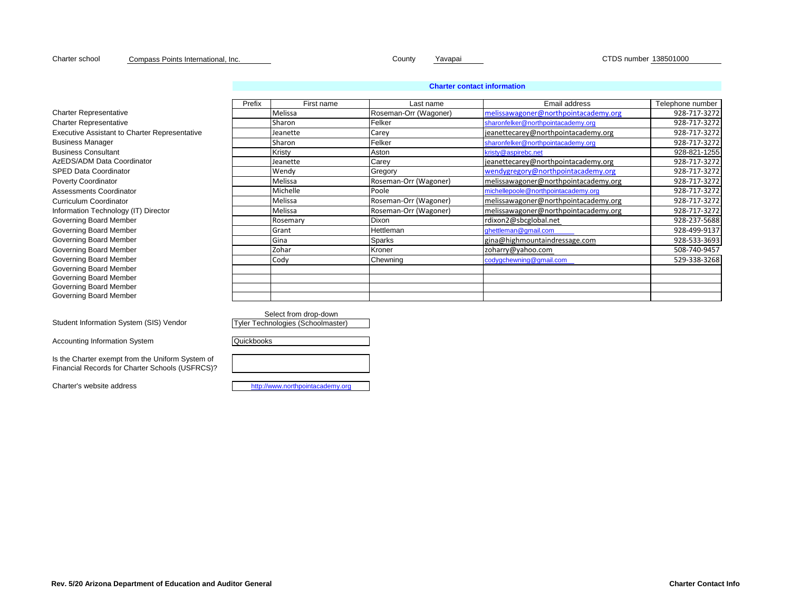Charter school County Yavapai CTDS number 138501000 Compass Points International, Inc.

## **Charter contact information**

|                                                      | Prefix | First name | Last name             | Email address                        | Telephone number |
|------------------------------------------------------|--------|------------|-----------------------|--------------------------------------|------------------|
| <b>Charter Representative</b>                        |        | Melissa    | Roseman-Orr (Wagoner) | melissawagoner@northpointacademy.org | 928-717-3272     |
| <b>Charter Representative</b>                        |        | Sharon     | Felker                | sharonfelker@northpointacademy.org   | 928-717-3272     |
| <b>Executive Assistant to Charter Representative</b> |        | Jeanette   | Carey                 | jeanettecarey@northpointacademy.org  | 928-717-3272     |
| <b>Business Manager</b>                              |        | Sharon     | Felker                | sharonfelker@northpointacademy.org   | 928-717-3272     |
| <b>Business Consultant</b>                           |        | Kristy     | Aston                 | kristy@aspirebc.net                  | 928-821-1255     |
| AzEDS/ADM Data Coordinator                           |        | Jeanette   | Carey                 | jeanettecarey@northpointacademy.org  | 928-717-3272     |
| <b>SPED Data Coordinator</b>                         |        | Wendy      | Gregory               | wendygregory@northpointacademy.org   | 928-717-3272     |
| <b>Poverty Coordinator</b>                           |        | Melissa    | Roseman-Orr (Wagoner) | melissawagoner@northpointacademy.org | 928-717-3272     |
| Assessments Coordinator                              |        | Michelle   | Poole                 | michellepoole@northpointacademy.org  | 928-717-3272     |
| Curriculum Coordinator                               |        | Melissa    | Roseman-Orr (Wagoner) | melissawagoner@northpointacademy.org | 928-717-3272     |
| Information Technology (IT) Director                 |        | Melissa    | Roseman-Orr (Wagoner) | melissawagoner@northpointacademy.org | 928-717-3272     |
| Governing Board Member                               |        | Rosemary   | Dixon                 | rdixon2@sbcglobal.net                | 928-237-5688     |
| Governing Board Member                               |        | Grant      | Hettleman             | ghettleman@gmail.com                 | 928-499-9137     |
| Governing Board Member                               |        | Gina       | <b>Sparks</b>         | gina@highmountaindressage.com        | 928-533-3693     |
| Governing Board Member                               |        | Zohar      | Kroner                | zoharry@yahoo.com                    | 508-740-9457     |
| Governing Board Member                               |        | Cody       | Chewning              | codygchewning@gmail.com              | 529-338-3268     |
| Governing Board Member                               |        |            |                       |                                      |                  |
| Governing Board Member                               |        |            |                       |                                      |                  |
| Governing Board Member                               |        |            |                       |                                      |                  |
| Governing Board Member                               |        |            |                       |                                      |                  |

Select from drop-down

**Quickbooks** 

Tyler Technologies (Schoolmaster)

Accounting Information System

Student Information System (SIS) Vendor

Is the Charter exempt from the Uniform System of Financial Records for Charter Schools (USFRCS)?

Charter's website address [http://w](http://www.northpointacademy.org/)ww.northpointacademy.org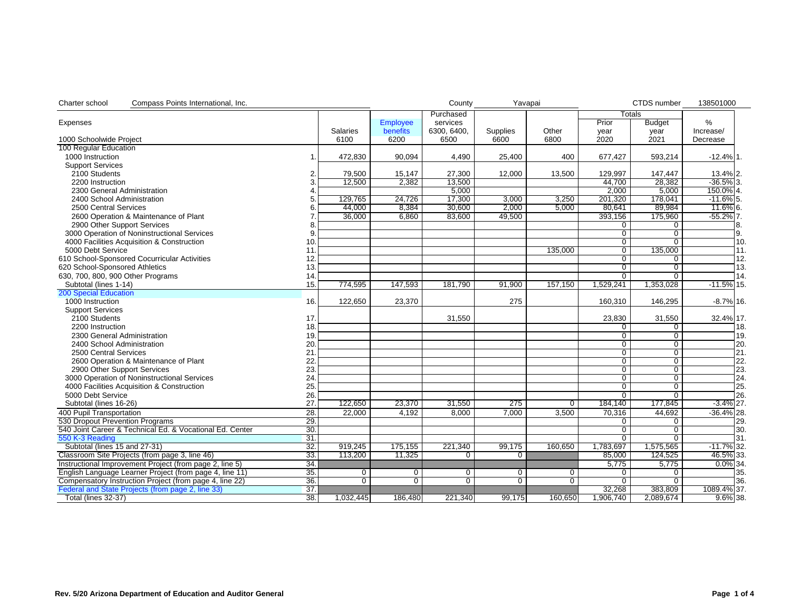| Charter school<br>Compass Points International, Inc.     |                |                 |                 | County         | Yavapai         |                |                | CTDS number    | 138501000     |
|----------------------------------------------------------|----------------|-----------------|-----------------|----------------|-----------------|----------------|----------------|----------------|---------------|
|                                                          |                |                 |                 | Purchased      |                 |                | <b>Totals</b>  |                |               |
| Expenses                                                 |                |                 | <b>Employee</b> | services       |                 |                | Prior          | <b>Budget</b>  | %             |
|                                                          |                | <b>Salaries</b> | benefits        | 6300, 6400,    | <b>Supplies</b> | Other          | year           | year           | Increase/     |
| 1000 Schoolwide Project                                  |                | 6100            | 6200            | 6500           | 6600            | 6800           | 2020           | 2021           | Decrease      |
| 100 Regular Education                                    |                |                 |                 |                |                 |                |                |                |               |
| 1000 Instruction                                         | $\mathbf{1}$ . | 472,830         | 90,094          | 4,490          | 25,400          | 400            | 677,427        | 593,214        | $-12.4\%$ 1.  |
| <b>Support Services</b>                                  |                |                 |                 |                |                 |                |                |                |               |
| 2100 Students                                            |                | 79,500          | 15,147          | 27,300         | 12,000          | 13,500         | 129,997        | 147,447        | 13.4% 2.      |
| 2200 Instruction                                         |                | 12,500          | 2,382           | 13,500         |                 |                | 44.700         | 28,382         | $-36.5\%$ 3.  |
| 2300 General Administration                              |                |                 |                 | 5,000          |                 |                | 2,000          | 5,000          | 150.0% 4.     |
| 2400 School Administration                               |                | 129,765         | 24,726          | 17,300         | 3,000           | 3,250          | 201,320        | 178.041        | $-11.6\%$ 5.  |
| 2500 Central Services                                    |                | 44,000          | 8,384           | 30,600         | 2,000           | 5,000          | 80,641         | 89,984         | 11.6% 6.      |
| 2600 Operation & Maintenance of Plant                    |                | 36,000          | 6.860           | 83.600         | 49.500          |                | 393,156        | 175,960        | $-55.2\%$ 7.  |
| 2900 Other Support Services                              |                |                 |                 |                |                 |                | 0              | 0              | 8.            |
| 3000 Operation of Noninstructional Services              | 9              |                 |                 |                |                 |                | $\overline{0}$ | $\overline{0}$ | Ι9.           |
| 4000 Facilities Acquisition & Construction               | 10.            |                 |                 |                |                 |                | $\overline{0}$ | $\overline{0}$ | 10.           |
| 5000 Debt Service                                        | 11.            |                 |                 |                |                 | 135,000        | 0              | 135,000        | 11.           |
|                                                          |                |                 |                 |                |                 |                | $\overline{0}$ |                | 12.           |
| 610 School-Sponsored Cocurricular Activities             | 12.            |                 |                 |                |                 |                |                | $\mathbf 0$    | 13.           |
| 620 School-Sponsored Athletics                           | 13.            |                 |                 |                |                 |                | $\overline{0}$ | $\overline{0}$ |               |
| 630, 700, 800, 900 Other Programs                        | 14.            |                 |                 |                |                 |                | $\overline{0}$ | $\overline{0}$ | 14.           |
| Subtotal (lines 1-14)                                    | 15.            | 774,595         | 147,593         | 181,790        | 91,900          | 157,150        | 1,529,241      | 1,353,028      | $-11.5\%$ 15. |
| <b>200 Special Education</b>                             |                |                 |                 |                |                 |                |                |                |               |
| 1000 Instruction                                         | 16.            | 122.650         | 23.370          |                | 275             |                | 160.310        | 146.295        | $-8.7\%$ 16.  |
| <b>Support Services</b>                                  |                |                 |                 |                |                 |                |                |                |               |
| 2100 Students                                            | 17.            |                 |                 | 31,550         |                 |                | 23,830         | 31,550         | 32.4% 17.     |
| 2200 Instruction                                         | 18.            |                 |                 |                |                 |                | 0              | $\mathbf{0}$   | 18.           |
| 2300 General Administration                              | 19.            |                 |                 |                |                 |                | $\overline{0}$ | $\overline{0}$ | 19.           |
| 2400 School Administration                               | 20.            |                 |                 |                |                 |                | 0              | $\overline{0}$ | 20.           |
| 2500 Central Services                                    | 21             |                 |                 |                |                 |                | $\overline{0}$ | $\overline{0}$ | 21.           |
| 2600 Operation & Maintenance of Plant                    | 22.            |                 |                 |                |                 |                | $\overline{0}$ | $\overline{0}$ | 22.           |
| 2900 Other Support Services                              | 23.            |                 |                 |                |                 |                | $\overline{0}$ | $\overline{0}$ | 23.           |
| 3000 Operation of Noninstructional Services              | 24.            |                 |                 |                |                 |                | $\overline{0}$ | $\overline{0}$ | 24.           |
| 4000 Facilities Acquisition & Construction               | 25.            |                 |                 |                |                 |                | $\overline{0}$ | $\overline{0}$ | 25.           |
| 5000 Debt Service                                        | 26.            |                 |                 |                |                 |                | $\Omega$       | $\overline{0}$ | 26.           |
| Subtotal (lines 16-26)                                   | 27.            | 122,650         | 23,370          | 31,550         | 275             | $\overline{0}$ | 184,140        | 177,845        | $-3.4\%$ 27.  |
| 400 Pupil Transportation                                 | 28.            | 22,000          | 4,192           | 8.000          | 7,000           | 3,500          | 70,316         | 44,692         | $-36.4\%$ 28. |
| 530 Dropout Prevention Programs                          | 29.            |                 |                 |                |                 |                | 0              | $\overline{0}$ | 29.           |
| 540 Joint Career & Technical Ed. & Vocational Ed. Center | 30.            |                 |                 |                |                 |                | $\overline{0}$ | $\overline{0}$ | 30.           |
| 550 K-3 Reading                                          | 31             |                 |                 |                |                 |                | $\overline{0}$ | $\overline{0}$ | 31.           |
| Subtotal (lines 15 and 27-31)                            | 32.            | 919,245         | 175,155         | 221,340        | 99,175          | 160,650        | 1,783,697      | 1,575,565      | $-11.7\%$ 32. |
| Classroom Site Projects (from page 3, line 46)           | 33.            | 113,200         | 11,325          | 0              | $\overline{0}$  |                | 85,000         | 124,525        | 46.5% 33.     |
| Instructional Improvement Project (from page 2, line 5)  | 34.            |                 |                 |                |                 |                | 5,775          | 5,775          | $0.0\%$ 34.   |
| English Language Learner Project (from page 4, line 11)  | 35.            | $\overline{0}$  | $\mathbf 0$     | $\overline{0}$ | $\overline{0}$  | $\overline{0}$ | 0              | $\overline{0}$ | 35.           |
| Compensatory Instruction Project (from page 4, line 22)  | 36.            | $\overline{0}$  | $\overline{0}$  | $\overline{0}$ | $\overline{0}$  | $\overline{0}$ | $\overline{0}$ | $\overline{0}$ | 36.           |
| Federal and State Projects (from page 2, line 33)        | 37.            |                 |                 |                |                 |                | 32,268         | 383,809        | 1089.4% 37.   |
| Total (lines 32-37)                                      | 38.            | 1,032,445       | 186.480         | 221.340        | 99,175          | 160.650        | 1,906,740      | 2,089,674      | $9.6\%$ 38.   |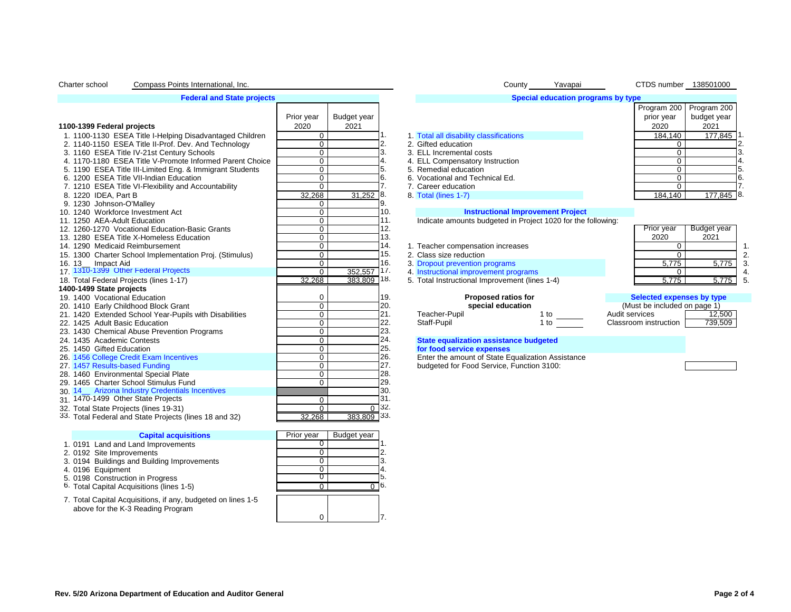### Charter school Compass Points International, Inc. Notation of the County County County Yavapai CTDS number 138501000

#### **Federal and State projects**

|                                                          | Prior year | Budget year |                |  |                                                              |                     |                                          |                | prior year                   | T TUYTANI ZUU   T TUYTANI ZUU<br>budget year |  |
|----------------------------------------------------------|------------|-------------|----------------|--|--------------------------------------------------------------|---------------------|------------------------------------------|----------------|------------------------------|----------------------------------------------|--|
| 1100-1399 Federal projects                               | 2020       | 2021        |                |  |                                                              |                     |                                          |                | 2020                         | 2021                                         |  |
| 1. 1100-1130 ESEA Title I-Helping Disadvantaged Children | 0          |             |                |  | 1. Total all disability classifications                      |                     |                                          |                | 184.140                      | 177,845                                      |  |
| 2. 1140-1150 ESEA Title II-Prof. Dev. And Technology     | 0          |             |                |  | 2. Gifted education                                          |                     |                                          |                |                              |                                              |  |
| 3. 1160 ESEA Title IV-21st Century Schools               | 0          |             |                |  | 3. ELL Incremental costs                                     |                     |                                          |                |                              |                                              |  |
| 4. 1170-1180 ESEA Title V-Promote Informed Parent Choice | 0          |             |                |  | 4. ELL Compensatory Instruction                              |                     |                                          |                | 0                            |                                              |  |
| 5. 1190 ESEA Title III-Limited Eng. & Immigrant Students | 0          |             | 5.             |  | 5. Remedial education                                        |                     |                                          |                | 0                            |                                              |  |
| 6. 1200 ESEA Title VII-Indian Education                  | 0          |             | 6.             |  | 6. Vocational and Technical Ed.                              |                     |                                          |                | 0                            |                                              |  |
| 7. 1210 ESEA Title VI-Flexibility and Accountability     | 0          |             |                |  | 7. Career education                                          |                     |                                          |                | 0                            |                                              |  |
| 8. 1220 IDEA, Part B                                     | 32,268     | $31,252$ 8. |                |  | 8. Total (lines 1-7)                                         |                     |                                          |                | 184.140                      | 177,845 8                                    |  |
| 9. 1230 Johnson-O'Malley                                 | 0          |             | 9.             |  |                                                              |                     |                                          |                |                              |                                              |  |
| 10. 1240 Workforce Investment Act                        | 0          |             | 10.            |  |                                                              |                     | <b>Instructional Improvement Project</b> |                |                              |                                              |  |
| 11. 1250 AEA-Adult Education                             | 0          |             | 11.            |  | Indicate amounts budgeted in Project 1020 for the following: |                     |                                          |                |                              |                                              |  |
| 12. 1260-1270 Vocational Education-Basic Grants          | 0          |             | 12.            |  |                                                              |                     |                                          |                | Prior year                   | Budget year                                  |  |
| 13. 1280 ESEA Title X-Homeless Education                 | 0          |             | 13.            |  |                                                              |                     |                                          |                | 2020                         | 2021                                         |  |
| 14. 1290 Medicaid Reimbursement                          | 0          |             | 14.            |  | 1. Teacher compensation increases                            |                     |                                          |                | $\Omega$                     |                                              |  |
| 15. 1300 Charter School Implementation Proj. (Stimulus)  | 0          |             | 15.            |  | 2. Class size reduction                                      |                     |                                          |                | $\Omega$                     |                                              |  |
| 16. 13_ Impact Aid                                       | 0          |             | 16.            |  | 3. Dropout prevention programs                               |                     |                                          |                | 5.775                        | 5,775                                        |  |
| 17. 1310-1399 Other Federal Projects                     | O          | 352,557     | 17.            |  | 4. Instructional improvement programs                        |                     |                                          |                | $\Omega$                     |                                              |  |
| 18. Total Federal Projects (lines 1-17)                  | 32.268     | 383,809 18. |                |  | 5. Total Instructional Improvement (lines 1-4)               |                     |                                          |                | 5.775                        | 5,775                                        |  |
| 1400-1499 State projects                                 |            |             |                |  |                                                              |                     |                                          |                |                              |                                              |  |
| 19. 1400 Vocational Education                            | 0          |             | 19.            |  |                                                              | Proposed ratios for |                                          |                | Selected expenses by type    |                                              |  |
| 20. 1410 Early Childhood Block Grant                     | 0          |             | 20.            |  |                                                              | special education   |                                          |                | (Must be included on page 1) |                                              |  |
| 21. 1420 Extended School Year-Pupils with Disabilities   | 0          |             | 21.            |  | Teacher-Pupil                                                |                     | 1 to                                     | Audit services |                              | 12,500                                       |  |
| 22. 1425 Adult Basic Education                           | 0          |             | 22.            |  | Staff-Pupil                                                  |                     | $1$ to                                   |                | Classroom instruction        | 739,509                                      |  |
| 23. 1430 Chemical Abuse Prevention Programs              | 0          |             | 23.            |  |                                                              |                     |                                          |                |                              |                                              |  |
| 24. 1435 Academic Contests                               | 0          |             | 24.            |  | <b>State equalization assistance budgeted</b>                |                     |                                          |                |                              |                                              |  |
| 25. 1450 Gifted Education                                | 0          |             | 25.            |  | for food service expenses                                    |                     |                                          |                |                              |                                              |  |
| 26. 1456 College Credit Exam Incentives                  | 0          |             | 26.            |  | Enter the amount of State Equalization Assistance            |                     |                                          |                |                              |                                              |  |
| 27. 1457 Results-based Funding                           | 0          |             | 27.            |  | budgeted for Food Service, Function 3100:                    |                     |                                          |                |                              |                                              |  |
| 28. 1460 Environmental Special Plate                     | 0          |             | 28.            |  |                                                              |                     |                                          |                |                              |                                              |  |
| 29. 1465 Charter School Stimulus Fund                    | 0          |             | 29.            |  |                                                              |                     |                                          |                |                              |                                              |  |
| 30. 14_ Arizona Industry Credentials Incentives          |            |             | 30.            |  |                                                              |                     |                                          |                |                              |                                              |  |
| 31. 1470-1499 Other State Projects                       | $\Omega$   |             | 31.            |  |                                                              |                     |                                          |                |                              |                                              |  |
| 32. Total State Projects (lines 19-31)                   | 0          |             | $0^{\circ}32.$ |  |                                                              |                     |                                          |                |                              |                                              |  |
| 33. Total Federal and State Projects (lines 18 and 32)   | 32,268     | 383,809 33. |                |  |                                                              |                     |                                          |                |                              |                                              |  |
|                                                          |            |             |                |  |                                                              |                     |                                          |                |                              |                                              |  |

#### **Capital acquisitions** Prior year Budget year

- 1. 0191 Land and Land Improvements 0 1.
- 
- 2. 0192 Site Improvements<br>3. 0194 Buildings and Building Improvements 0 2. 00 2. 00 3. 3. 0194 Buildings and Building Improvements  $\begin{array}{|c|c|c|c|c|}\n\hline\n3 & 0 & 3 \\
4 & 0196 & \text{Fquioment} \\
\hline\n\end{array}$
- 
- 4. 0196 Equipment 4. 0196 Equipment 1. 0 4. 0198 Construction in Progress 1. 0 4. 5. 0198 Construction in Progress  $\begin{array}{|c|c|c|c|c|}\n\hline\n5. & 0198 & 5. & 5. & 0 & 0 & 0 & 0 & 0 & 0 & 0 \\
\hline\n6. & 0 & 0 & 0 & 0 & 0 & 0 & 0 & 0\n\end{array}$
- 6. Total Capital Acquisitions (lines 1-5) 0 0 6.
- 7. Total Capital Acquisitions, if any, budgeted on lines 1-5 above for the K-3 Reading Program

| $\sim$ |  |  |
|--------|--|--|

#### **Special education programs by type** Program 200 prior year 2020 Program 200 budget year 2021 1. 1100-1130 ESEA Title I-Helping Disadvantaged Children 0 1. 1. Total all disability classifications 184,140 177,845 1. 2. 1140-1150 ESEA Title II-Prof. Dev. And Technology 0 2. 2. Gifted education 0 2. 3. 3. ELL Incremental costs  $\begin{array}{|c|c|c|c|c|}\n\hline\n\text{3.} & 3. & \text{ELL} & \text{1.} & \text{0.} & \text{0.} & \text{0.} \\
\hline\n\text{4.} & 4. & \text{ELL} & \text{Comen} & \text{3.} & \text{1.} & \text{1.} & \text{1.} \\
\hline\n\end{array}$ 4. 4. ELL Compensatory Instruction  $\begin{array}{|c|c|c|c|c|}\n\hline\n5. & 5. & \text{Remedial education} & 5. & 0 & 5. \\
\hline\n\end{array}$ 5. Remedial education 6. 1200 ESEA Title VII-Indian Education 0 6. 6. Vocational and Technical Ed. 0 6.

- 
- 

 $\begin{array}{ccc} 0 & \hspace{1.5cm} \end{array}$  7.

- 16. 3. Dropout prevention programs 52,557 17. 4. Instructional improvement pro
	-
	- 5. Total Instructional Improvement (lines 1-4)

### 14. 1290 Medicaid Reimbursement 0 14. 1. Teacher compensation increases 0 1. 15. 2. Class size reduction<br>
16. 3. Dropout prevention programs<br>
16. 3. Dropout prevention programs  $\frac{52,557}{83,809}$  17. 4. Instructional improvement programs  $\begin{array}{|l|l|}\n\hline\n33,809 & 18. & 5.775 & 5.775\n\end{array}$ Prior year 2020 Budget year 2021

| Selected expenses by type    |         |
|------------------------------|---------|
| (Must be included on page 1) |         |
| Audit services               | 12,500  |
| Classroom instruction        | 739,509 |

# 24. **1435 State equalization assistance budgeted**<br>25. **State food service expenses**

## **Rev. 5/20 Arizona Department of Education and Auditor General Page 2 of 4**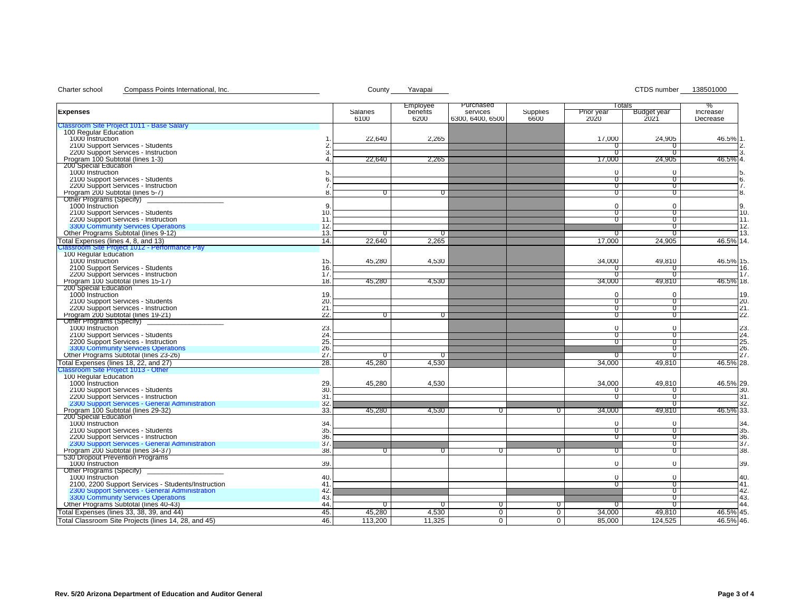# Charter school Compass Points International, Inc. Charter and County Cavapai County Yavapai CTDS number 138501000

|                                                                                              |            | Employee       | Purchased        |                |                   | Totals         | ℅          |
|----------------------------------------------------------------------------------------------|------------|----------------|------------------|----------------|-------------------|----------------|------------|
| Expenses                                                                                     | Salaries   | benefits       | services         | Supplies       | <b>Prior</b> year | Budget year    | Increase/  |
|                                                                                              | 6100       | 6200           | 6300, 6400, 6500 | 6600           | 2020              | 2021           | Decrease   |
| Classroom Site Project 1011 - Base Salary<br>100 Regular Education                           |            |                |                  |                |                   |                |            |
| 1000 Instruction                                                                             | 22.640     | 2,265          |                  |                | 17,000            | 24,905         | 46.5% 1.   |
| 2100 Support Services - Students                                                             |            |                |                  |                | 0                 |                | 2.         |
| 2200 Support Services - Instruction<br>3                                                     |            |                |                  |                | $\overline{0}$    | $\sigma$       | 3.         |
| Program 100 Subtotal (lines 1-3)<br>4                                                        | 22,640     | 2,265          |                  |                | 17,000            | 24,905         | 46.5% 4.   |
| 200 Special Education                                                                        |            |                |                  |                |                   |                |            |
| 1000 Instruction                                                                             |            |                |                  |                | $\mathbf 0$       | $\Omega$       | 5.         |
| 2100 Support Services - Students<br>6                                                        |            |                |                  |                | 0                 | 0              | 6.         |
| 2200 Support Services - Instruction                                                          |            |                |                  |                | 0                 | $\Omega$       | 7.         |
| Program 200 Subtotal (lines 5-7)<br>8                                                        | U          | U              |                  |                | υ                 | ถ              | 8.         |
| Other Programs (Specify)                                                                     |            |                |                  |                |                   |                |            |
| 1000 Instruction<br>9                                                                        |            |                |                  |                | $\Omega$          | $\Omega$       | 9.         |
| 2100 Support Services - Students<br>10                                                       |            |                |                  |                | $\sigma$          | ถ              | 10.        |
| 2200 Support Services - Instruction<br>11                                                    |            |                |                  |                | 0                 | $\sigma$       | 11.        |
| 3300 Community Services Operations<br>12.                                                    |            |                |                  |                |                   | $\sigma$       | 12.        |
| Other Programs Subtotal (lines 9-12)<br>13.                                                  | 0          | $\sigma$       |                  |                | 0                 | $^{\circ}$     | 13.        |
| Total Expenses (lines 4, 8, and 13)<br>14.                                                   | 22,640     | 2,265          |                  |                | 17,000            | 24,905         | 46.5% 14.  |
| Classroom Site Project 1012 - Performance Pay                                                |            |                |                  |                |                   |                |            |
| 100 Regular Education                                                                        |            |                |                  |                |                   |                |            |
| 1000 Instruction<br>15.                                                                      | 45,280     | 4,530          |                  |                | 34,000            | 49,810         | 46.5% 15.  |
| 2100 Support Services - Students<br>16.                                                      |            |                |                  |                | 0                 |                | 16.        |
| 2200 Support Services - Instruction<br>17                                                    |            |                |                  |                | $\sigma$          | $\sigma$       | 17.        |
| Program 100 Subtotal (lines 15-17)<br>18.                                                    | 45,280     | 4,530          |                  |                | 34,000            | 49,810         | 46.5% 18.  |
| 200 Special Education                                                                        |            |                |                  |                |                   |                |            |
| 1000 Instruction<br>19.                                                                      |            |                |                  |                | $\Omega$          | $\Omega$       | 19.        |
| 2100 Support Services - Students<br>20                                                       |            |                |                  |                | 0                 | $\sigma$       | 20.        |
| 2200 Support Services - Instruction<br>21                                                    |            |                |                  |                | $\sigma$          | $^{\circ}$     | 21.        |
| Program 200 Subtotal (lines 19-21)<br>22                                                     | $^{\circ}$ | $\overline{0}$ |                  |                | $\sigma$          | $^{\circ}$     | 22.        |
| Other Programs (Specify)                                                                     |            |                |                  |                |                   |                |            |
| 1000 Instruction<br>23                                                                       |            |                |                  |                | $\Omega$          | $\Omega$       | 23.        |
| 24<br>2100 Support Services - Students                                                       |            |                |                  |                | $^{\circ}$        | $^{\circ}$     | 24.        |
| 25<br>2200 Support Services - Instruction                                                    |            |                |                  |                | π                 | $\sigma$       | 25.        |
| 3300 Community Services Operations<br>26.                                                    |            |                |                  |                |                   | ถ              | 26.        |
| Other Programs Subtotal (lines 23-26)<br>27.                                                 | O          | $\sigma$       |                  |                | O                 | $\sigma$       | 27.        |
| Total Expenses (lines 18, 22, and 27)<br>28.                                                 | 45.280     | 4,530          |                  |                | 34,000            | 49,810         | 46.5% 28.  |
| Classroom Site Project 1013 - Other                                                          |            |                |                  |                |                   |                |            |
| 100 Regular Education                                                                        |            |                |                  |                |                   |                |            |
| 1000 Instruction<br>29                                                                       | 45,280     | 4,530          |                  |                | 34,000            | 49,810         | 46.5% 29.  |
| 30<br>2100 Support Services - Students<br>31                                                 |            |                |                  |                | $\Omega$          |                | 30.<br>31. |
| 2200 Support Services - Instruction<br>2300 Support Services - General Administration<br>32. |            |                |                  |                | υ                 | U<br>U         | 32.        |
| Program 100 Subtotal (lines 29-32)                                                           |            |                |                  |                |                   |                |            |
| 33.<br>200 Special Education                                                                 | 45,280     | 4,530          | 0                | $\sigma$       | 34,000            | 49,810         | 46.5% 33.  |
| 1000 Instruction<br>34                                                                       |            |                |                  |                | $\Omega$          | $\Omega$       | 34.        |
| 2100 Support Services - Students<br>35                                                       |            |                |                  |                | $\overline{0}$    | $\sigma$       | 35.        |
| 36.<br>2200 Support Services - Instruction                                                   |            |                |                  |                | 0                 | $\overline{0}$ | 36.        |
| 2300 Support Services - General Administration<br>37                                         |            |                |                  |                |                   | $\overline{0}$ | 37.        |
| Program 200 Subtotal (lines 34-37)<br>38.                                                    | 0          | $\overline{0}$ | $^{\rm o}$       | $\overline{0}$ | $\overline{0}$    | $\sigma$       | 38.        |
| 530 Dropout Prevention Programs                                                              |            |                |                  |                |                   |                |            |
| 39.<br>1000 Instruction                                                                      |            |                |                  |                | $\mathbf 0$       | $\Omega$       | 39.        |
| Other Programs (Specify)                                                                     |            |                |                  |                |                   |                |            |
| 1000 Instruction<br>40                                                                       |            |                |                  |                | $\mathbf 0$       | $\mathbf 0$    | 40.        |
| 2100, 2200 Support Services - Students/Instruction<br>41                                     |            |                |                  |                | 0                 | $\sigma$       | 41.        |
| 42                                                                                           |            |                |                  |                |                   | $\sigma$       | 42.        |
| 2300 Support Services - General Administration<br>3300 Community Services Operations<br>43   |            |                |                  |                |                   | $\Omega$       | 43.        |
| Other Programs Subtotal (lines 40-43)<br>44.                                                 | $\Omega$   | $\Omega$       | $\sigma$         | $\overline{0}$ | $\overline{0}$    | $^{\circ}$     | 44.        |
| Total Expenses (lines 33, 38, 39, and 44)<br>45.                                             | 45,280     | 4,530          | $\overline{0}$   | $\overline{0}$ | 34,000            | 49,810         | 46.5% 45.  |
| Total Classroom Site Projects (lines 14, 28, and 45)<br>46.                                  | 113,200    | 11,325         | $\overline{0}$   | $\overline{0}$ | 85,000            | 124,525        | 46.5% 46.  |
|                                                                                              |            |                |                  |                |                   |                |            |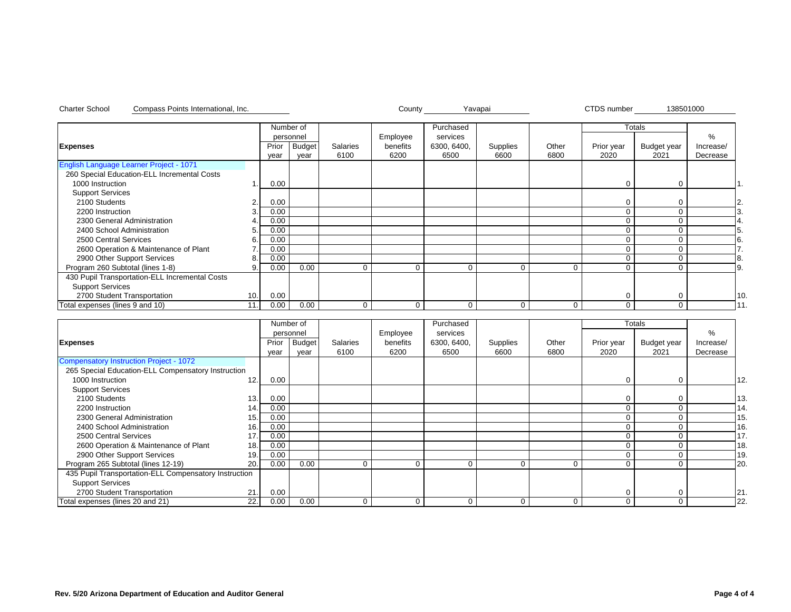|                                                |                 |       | Number of     |          |          | Purchased   |          |          |            | <b>Totals</b> |           |    |
|------------------------------------------------|-----------------|-------|---------------|----------|----------|-------------|----------|----------|------------|---------------|-----------|----|
|                                                |                 |       | personnel     |          | Employee | services    |          |          |            |               | %         |    |
| <b>Expenses</b>                                |                 | Prior | <b>Budget</b> | Salaries | benefits | 6300, 6400, | Supplies | Other    | Prior year | Budget year   | Increase/ |    |
|                                                |                 | year  | year          | 6100     | 6200     | 6500        | 6600     | 6800     | 2020       | 2021          | Decrease  |    |
| English Language Learner Project - 1071        |                 |       |               |          |          |             |          |          |            |               |           |    |
| 260 Special Education-ELL Incremental Costs    |                 |       |               |          |          |             |          |          |            |               |           |    |
| 1000 Instruction                               |                 | 0.00  |               |          |          |             |          |          | $\Omega$   | $\Omega$      |           |    |
| <b>Support Services</b>                        |                 |       |               |          |          |             |          |          |            |               |           |    |
| 2100 Students                                  | 2.              | 0.00  |               |          |          |             |          |          | $\Omega$   |               |           | 2. |
| 2200 Instruction                               |                 | 0.00  |               |          |          |             |          |          | 0          |               |           |    |
| 2300 General Administration                    |                 | 0.00  |               |          |          |             |          |          |            |               |           |    |
| 2400 School Administration                     |                 | 0.00  |               |          |          |             |          |          | በ          |               |           |    |
| 2500 Central Services                          | ĥ               | 0.00  |               |          |          |             |          |          | 0          |               |           |    |
| 2600 Operation & Maintenance of Plant          |                 | 0.00  |               |          |          |             |          |          | 0          |               |           |    |
| 2900 Other Support Services                    | 8.              | 0.00  |               |          |          |             |          |          | 0          |               |           | 8. |
| Program 260 Subtotal (lines 1-8)               | 9               | 0.00  | 0.00          | $\Omega$ | 0        | 0           | $\Omega$ | $\Omega$ | 0          |               |           | 9. |
| 430 Pupil Transportation-ELL Incremental Costs |                 |       |               |          |          |             |          |          |            |               |           |    |
| <b>Support Services</b>                        |                 |       |               |          |          |             |          |          |            |               |           |    |
| 2700 Student Transportation                    | 10 <sub>1</sub> | 0.00  |               |          |          |             |          |          | 0          |               |           | 10 |
| Total expenses (lines 9 and 10)                | 11              | 0.00  | 0.00          | $\Omega$ | 0        | U           | $\Omega$ | $\Omega$ | $\Omega$   |               |           | 11 |

Charter School Compass Points International, Inc. Notable 2001 138501000 County Navapai New York CTDS number 138501000

|                                                       |      |       | Number of     |          |          | Purchased   |          |       |            | <b>Totals</b> |           |     |
|-------------------------------------------------------|------|-------|---------------|----------|----------|-------------|----------|-------|------------|---------------|-----------|-----|
|                                                       |      |       | personnel     |          | Employee | services    |          |       |            |               | %         |     |
| <b>Expenses</b>                                       |      | Prior | <b>Budget</b> | Salaries | benefits | 6300, 6400, | Supplies | Other | Prior year | Budget year   | Increase/ |     |
|                                                       |      | year  | year          | 6100     | 6200     | 6500        | 6600     | 6800  | 2020       | 2021          | Decrease  |     |
| Compensatory Instruction Project - 1072               |      |       |               |          |          |             |          |       |            |               |           |     |
| 265 Special Education-ELL Compensatory Instruction    |      |       |               |          |          |             |          |       |            |               |           |     |
| 1000 Instruction                                      | 12.1 | 0.00  |               |          |          |             |          |       |            | $\Omega$      |           | 12. |
| <b>Support Services</b>                               |      |       |               |          |          |             |          |       |            |               |           |     |
| 2100 Students                                         | 13.  | 0.00  |               |          |          |             |          |       |            |               |           | 13. |
| 2200 Instruction                                      | 14.  | 0.00  |               |          |          |             |          |       |            |               |           | 14. |
| 2300 General Administration                           | 15.  | 0.00  |               |          |          |             |          |       |            |               |           | 15  |
| 2400 School Administration                            | 16.  | 0.00  |               |          |          |             |          |       |            |               |           | 16  |
| 2500 Central Services                                 | 17.  | 0.00  |               |          |          |             |          |       |            |               |           | 17. |
| 2600 Operation & Maintenance of Plant                 | 18.1 | 0.00  |               |          |          |             |          |       |            |               |           | 18  |
| 2900 Other Support Services                           | 19.1 | 0.00  |               |          |          |             |          |       |            |               |           | 19. |
| Program 265 Subtotal (lines 12-19)                    | 20.1 | 0.00  | 0.00          | $\Omega$ | 0        |             | $\Omega$ | 0     |            |               |           | 20  |
| 435 Pupil Transportation-ELL Compensatory Instruction |      |       |               |          |          |             |          |       |            |               |           |     |
| <b>Support Services</b>                               |      |       |               |          |          |             |          |       |            |               |           |     |
| 2700 Student Transportation                           | 21.  | 0.00  |               |          |          |             |          |       | C          | $\Omega$      |           | 21  |
| Total expenses (lines 20 and 21)                      | 22.1 | 0.00  | 0.00          | $\Omega$ |          |             | $\Omega$ | 0     | C          |               |           | 22. |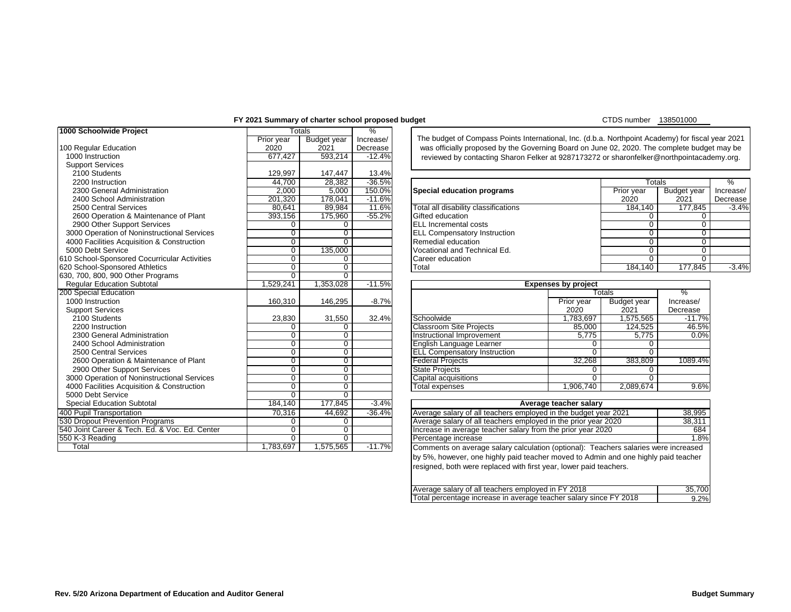# **FY 2021 Summary of charter school proposed budget**

CTDS number 138501000

| 1000 Schoolwide Project<br>%<br>Totals<br>The budget of Compass Points International, Inc. (d.b.a. Northpoint Academy) for fiscal year 2021<br>Budget year<br>Prior year<br>Increase/<br>2021<br>100 Regular Education<br>2020<br>Decrease<br>was officially proposed by the Governing Board on June 02, 2020. The complete budget may be<br>593,214<br>$-12.4%$<br>1000 Instruction<br>677,427<br>reviewed by contacting Sharon Felker at 9287173272 or sharonfelker@northpointacademy.org.<br><b>Support Services</b><br>2100 Students<br>129,997<br>147,447<br>13.4%<br>28,382<br>$-36.5%$<br>2200 Instruction<br>44,700<br>%<br>Totals<br>5,000<br>150.0%<br>2300 General Administration<br>2,000<br>Special education programs<br>Prior year<br><b>Budget year</b><br>Increase/<br>201,320<br>178,041<br>$-11.6%$<br>2021<br>2400 School Administration<br>2020<br>Decrease<br>89,984<br>184,140<br>177.845<br>$-3.4%$<br>2500 Central Services<br>80,641<br>11.6%<br>Total all disability classifications<br>393,156<br>175,960<br>$-55.2%$<br>2600 Operation & Maintenance of Plant<br>Gifted education<br>$\Omega$<br>0<br><b>ELL Incremental costs</b><br>2900 Other Support Services<br>0<br>$\Omega$<br>0<br>$\Omega$<br>$\overline{0}$<br>3000 Operation of Noninstructional Services<br>0<br><b>ELL Compensatory Instruction</b><br>0<br>0<br>$\overline{0}$<br>Remedial education<br>$\overline{0}$<br>4000 Facilities Acquisition & Construction<br>0<br>0<br>135,000<br>5000 Debt Service<br>Vocational and Technical Ed.<br>$\overline{0}$<br>0<br>0<br>610 School-Sponsored Cocurricular Activities<br>$\overline{0}$<br>$\overline{0}$<br>$\overline{0}$<br>$\mathbf{0}$<br>Career education<br>$\overline{0}$<br>$\overline{0}$<br>184,140<br>177,845<br>620 School-Sponsored Athletics<br>Total<br>630, 700, 800, 900 Other Programs<br>$\overline{0}$<br>$\Omega$<br>1,529,241<br>1,353,028<br><b>Regular Education Subtotal</b><br>$-11.5%$<br><b>Expenses by project</b><br>200 Special Education<br>$\frac{9}{6}$<br>Totals<br>1000 Instruction<br>$-8.7%$<br>160,310<br>146,295<br>Prior year<br>Increase/<br>Budget year<br>2021<br><b>Support Services</b><br>2020<br>Decrease<br>2100 Students<br>23,830<br>31,550<br>32.4%<br>1,575,565<br>Schoolwide<br>1,783,697<br>$-11.7%$<br><b>Classroom Site Projects</b><br>46.5%<br>2200 Instruction<br>$\mathbf 0$<br>85,000<br>124,525<br>$\Omega$<br>$\overline{0}$<br>0.0%<br>2300 General Administration<br>Instructional Improvement<br>5,775<br>$\Omega$<br>5,775<br>$\overline{0}$<br>2400 School Administration<br>$\overline{0}$<br>English Language Learner<br>$\Omega$<br>0<br>$\overline{0}$<br>$\overline{0}$<br>$\overline{0}$<br>2500 Central Services<br><b>ELL Compensatory Instruction</b><br>$\Omega$<br>$\overline{0}$<br>$\overline{0}$<br>32,268<br>383,809<br>2600 Operation & Maintenance of Plant<br>1089.4%<br><b>Federal Projects</b><br>$\overline{0}$<br>$\overline{0}$<br>2900 Other Support Services<br><b>State Projects</b><br>$\mathbf 0$<br>$\Omega$<br>$\overline{0}$<br>3000 Operation of Noninstructional Services<br>0<br>Capital acquisitions<br>$\Omega$<br>$\Omega$<br>4000 Facilities Acquisition & Construction<br>$\overline{0}$<br>$\overline{0}$<br>1,906,740<br>2,089,674<br>9.6%<br><b>Total expenses</b><br>5000 Debt Service<br>$\overline{0}$<br>$\overline{0}$<br>177,845<br><b>Special Education Subtotal</b><br>184,140<br>$-3.4%$<br>Average teacher salary<br>400 Pupil Transportation<br>Average salary of all teachers employed in the budget year 2021<br>44,692<br>70,316<br>$-36.4%$<br>38,995<br>530 Dropout Prevention Programs<br>Average salary of all teachers employed in the prior year 2020<br>38,311<br>$\Omega$<br>$\mathbf 0$<br>540 Joint Career & Tech. Ed. & Voc. Ed. Center<br>$\overline{0}$<br>$\overline{0}$<br>Increase in average teacher salary from the prior year 2020<br>684<br>550 K-3 Reading<br>$\Omega$<br>$\Omega$<br>1.8%<br>Percentage increase<br>Total<br>1,783,697<br>1,575,565<br>$-11.7%$<br>Comments on average salary calculation (optional): Teachers salaries were increased | <b>I EVE</b> Building of Charler School proposed budget |  |  | <b>UUUU LUUU</b> |         |
|------------------------------------------------------------------------------------------------------------------------------------------------------------------------------------------------------------------------------------------------------------------------------------------------------------------------------------------------------------------------------------------------------------------------------------------------------------------------------------------------------------------------------------------------------------------------------------------------------------------------------------------------------------------------------------------------------------------------------------------------------------------------------------------------------------------------------------------------------------------------------------------------------------------------------------------------------------------------------------------------------------------------------------------------------------------------------------------------------------------------------------------------------------------------------------------------------------------------------------------------------------------------------------------------------------------------------------------------------------------------------------------------------------------------------------------------------------------------------------------------------------------------------------------------------------------------------------------------------------------------------------------------------------------------------------------------------------------------------------------------------------------------------------------------------------------------------------------------------------------------------------------------------------------------------------------------------------------------------------------------------------------------------------------------------------------------------------------------------------------------------------------------------------------------------------------------------------------------------------------------------------------------------------------------------------------------------------------------------------------------------------------------------------------------------------------------------------------------------------------------------------------------------------------------------------------------------------------------------------------------------------------------------------------------------------------------------------------------------------------------------------------------------------------------------------------------------------------------------------------------------------------------------------------------------------------------------------------------------------------------------------------------------------------------------------------------------------------------------------------------------------------------------------------------------------------------------------------------------------------------------------------------------------------------------------------------------------------------------------------------------------------------------------------------------------------------------------------------------------------------------------------------------------------------------------------------------------------------------------------------------------------------------------------------------------------------------------------------------------------------------------------------------------------------------------------------------------------------------------------------------------------------------------------------------------------------------------------------------------------------------------------------------------------------------------------------------------------------------------------------------------------------------------|---------------------------------------------------------|--|--|------------------|---------|
|                                                                                                                                                                                                                                                                                                                                                                                                                                                                                                                                                                                                                                                                                                                                                                                                                                                                                                                                                                                                                                                                                                                                                                                                                                                                                                                                                                                                                                                                                                                                                                                                                                                                                                                                                                                                                                                                                                                                                                                                                                                                                                                                                                                                                                                                                                                                                                                                                                                                                                                                                                                                                                                                                                                                                                                                                                                                                                                                                                                                                                                                                                                                                                                                                                                                                                                                                                                                                                                                                                                                                                                                                                                                                                                                                                                                                                                                                                                                                                                                                                                                                                                                                            |                                                         |  |  |                  |         |
|                                                                                                                                                                                                                                                                                                                                                                                                                                                                                                                                                                                                                                                                                                                                                                                                                                                                                                                                                                                                                                                                                                                                                                                                                                                                                                                                                                                                                                                                                                                                                                                                                                                                                                                                                                                                                                                                                                                                                                                                                                                                                                                                                                                                                                                                                                                                                                                                                                                                                                                                                                                                                                                                                                                                                                                                                                                                                                                                                                                                                                                                                                                                                                                                                                                                                                                                                                                                                                                                                                                                                                                                                                                                                                                                                                                                                                                                                                                                                                                                                                                                                                                                                            |                                                         |  |  |                  |         |
|                                                                                                                                                                                                                                                                                                                                                                                                                                                                                                                                                                                                                                                                                                                                                                                                                                                                                                                                                                                                                                                                                                                                                                                                                                                                                                                                                                                                                                                                                                                                                                                                                                                                                                                                                                                                                                                                                                                                                                                                                                                                                                                                                                                                                                                                                                                                                                                                                                                                                                                                                                                                                                                                                                                                                                                                                                                                                                                                                                                                                                                                                                                                                                                                                                                                                                                                                                                                                                                                                                                                                                                                                                                                                                                                                                                                                                                                                                                                                                                                                                                                                                                                                            |                                                         |  |  |                  |         |
|                                                                                                                                                                                                                                                                                                                                                                                                                                                                                                                                                                                                                                                                                                                                                                                                                                                                                                                                                                                                                                                                                                                                                                                                                                                                                                                                                                                                                                                                                                                                                                                                                                                                                                                                                                                                                                                                                                                                                                                                                                                                                                                                                                                                                                                                                                                                                                                                                                                                                                                                                                                                                                                                                                                                                                                                                                                                                                                                                                                                                                                                                                                                                                                                                                                                                                                                                                                                                                                                                                                                                                                                                                                                                                                                                                                                                                                                                                                                                                                                                                                                                                                                                            |                                                         |  |  |                  |         |
|                                                                                                                                                                                                                                                                                                                                                                                                                                                                                                                                                                                                                                                                                                                                                                                                                                                                                                                                                                                                                                                                                                                                                                                                                                                                                                                                                                                                                                                                                                                                                                                                                                                                                                                                                                                                                                                                                                                                                                                                                                                                                                                                                                                                                                                                                                                                                                                                                                                                                                                                                                                                                                                                                                                                                                                                                                                                                                                                                                                                                                                                                                                                                                                                                                                                                                                                                                                                                                                                                                                                                                                                                                                                                                                                                                                                                                                                                                                                                                                                                                                                                                                                                            |                                                         |  |  |                  |         |
|                                                                                                                                                                                                                                                                                                                                                                                                                                                                                                                                                                                                                                                                                                                                                                                                                                                                                                                                                                                                                                                                                                                                                                                                                                                                                                                                                                                                                                                                                                                                                                                                                                                                                                                                                                                                                                                                                                                                                                                                                                                                                                                                                                                                                                                                                                                                                                                                                                                                                                                                                                                                                                                                                                                                                                                                                                                                                                                                                                                                                                                                                                                                                                                                                                                                                                                                                                                                                                                                                                                                                                                                                                                                                                                                                                                                                                                                                                                                                                                                                                                                                                                                                            |                                                         |  |  |                  |         |
|                                                                                                                                                                                                                                                                                                                                                                                                                                                                                                                                                                                                                                                                                                                                                                                                                                                                                                                                                                                                                                                                                                                                                                                                                                                                                                                                                                                                                                                                                                                                                                                                                                                                                                                                                                                                                                                                                                                                                                                                                                                                                                                                                                                                                                                                                                                                                                                                                                                                                                                                                                                                                                                                                                                                                                                                                                                                                                                                                                                                                                                                                                                                                                                                                                                                                                                                                                                                                                                                                                                                                                                                                                                                                                                                                                                                                                                                                                                                                                                                                                                                                                                                                            |                                                         |  |  |                  |         |
|                                                                                                                                                                                                                                                                                                                                                                                                                                                                                                                                                                                                                                                                                                                                                                                                                                                                                                                                                                                                                                                                                                                                                                                                                                                                                                                                                                                                                                                                                                                                                                                                                                                                                                                                                                                                                                                                                                                                                                                                                                                                                                                                                                                                                                                                                                                                                                                                                                                                                                                                                                                                                                                                                                                                                                                                                                                                                                                                                                                                                                                                                                                                                                                                                                                                                                                                                                                                                                                                                                                                                                                                                                                                                                                                                                                                                                                                                                                                                                                                                                                                                                                                                            |                                                         |  |  |                  |         |
|                                                                                                                                                                                                                                                                                                                                                                                                                                                                                                                                                                                                                                                                                                                                                                                                                                                                                                                                                                                                                                                                                                                                                                                                                                                                                                                                                                                                                                                                                                                                                                                                                                                                                                                                                                                                                                                                                                                                                                                                                                                                                                                                                                                                                                                                                                                                                                                                                                                                                                                                                                                                                                                                                                                                                                                                                                                                                                                                                                                                                                                                                                                                                                                                                                                                                                                                                                                                                                                                                                                                                                                                                                                                                                                                                                                                                                                                                                                                                                                                                                                                                                                                                            |                                                         |  |  |                  |         |
|                                                                                                                                                                                                                                                                                                                                                                                                                                                                                                                                                                                                                                                                                                                                                                                                                                                                                                                                                                                                                                                                                                                                                                                                                                                                                                                                                                                                                                                                                                                                                                                                                                                                                                                                                                                                                                                                                                                                                                                                                                                                                                                                                                                                                                                                                                                                                                                                                                                                                                                                                                                                                                                                                                                                                                                                                                                                                                                                                                                                                                                                                                                                                                                                                                                                                                                                                                                                                                                                                                                                                                                                                                                                                                                                                                                                                                                                                                                                                                                                                                                                                                                                                            |                                                         |  |  |                  |         |
|                                                                                                                                                                                                                                                                                                                                                                                                                                                                                                                                                                                                                                                                                                                                                                                                                                                                                                                                                                                                                                                                                                                                                                                                                                                                                                                                                                                                                                                                                                                                                                                                                                                                                                                                                                                                                                                                                                                                                                                                                                                                                                                                                                                                                                                                                                                                                                                                                                                                                                                                                                                                                                                                                                                                                                                                                                                                                                                                                                                                                                                                                                                                                                                                                                                                                                                                                                                                                                                                                                                                                                                                                                                                                                                                                                                                                                                                                                                                                                                                                                                                                                                                                            |                                                         |  |  |                  |         |
|                                                                                                                                                                                                                                                                                                                                                                                                                                                                                                                                                                                                                                                                                                                                                                                                                                                                                                                                                                                                                                                                                                                                                                                                                                                                                                                                                                                                                                                                                                                                                                                                                                                                                                                                                                                                                                                                                                                                                                                                                                                                                                                                                                                                                                                                                                                                                                                                                                                                                                                                                                                                                                                                                                                                                                                                                                                                                                                                                                                                                                                                                                                                                                                                                                                                                                                                                                                                                                                                                                                                                                                                                                                                                                                                                                                                                                                                                                                                                                                                                                                                                                                                                            |                                                         |  |  |                  |         |
|                                                                                                                                                                                                                                                                                                                                                                                                                                                                                                                                                                                                                                                                                                                                                                                                                                                                                                                                                                                                                                                                                                                                                                                                                                                                                                                                                                                                                                                                                                                                                                                                                                                                                                                                                                                                                                                                                                                                                                                                                                                                                                                                                                                                                                                                                                                                                                                                                                                                                                                                                                                                                                                                                                                                                                                                                                                                                                                                                                                                                                                                                                                                                                                                                                                                                                                                                                                                                                                                                                                                                                                                                                                                                                                                                                                                                                                                                                                                                                                                                                                                                                                                                            |                                                         |  |  |                  |         |
|                                                                                                                                                                                                                                                                                                                                                                                                                                                                                                                                                                                                                                                                                                                                                                                                                                                                                                                                                                                                                                                                                                                                                                                                                                                                                                                                                                                                                                                                                                                                                                                                                                                                                                                                                                                                                                                                                                                                                                                                                                                                                                                                                                                                                                                                                                                                                                                                                                                                                                                                                                                                                                                                                                                                                                                                                                                                                                                                                                                                                                                                                                                                                                                                                                                                                                                                                                                                                                                                                                                                                                                                                                                                                                                                                                                                                                                                                                                                                                                                                                                                                                                                                            |                                                         |  |  |                  |         |
|                                                                                                                                                                                                                                                                                                                                                                                                                                                                                                                                                                                                                                                                                                                                                                                                                                                                                                                                                                                                                                                                                                                                                                                                                                                                                                                                                                                                                                                                                                                                                                                                                                                                                                                                                                                                                                                                                                                                                                                                                                                                                                                                                                                                                                                                                                                                                                                                                                                                                                                                                                                                                                                                                                                                                                                                                                                                                                                                                                                                                                                                                                                                                                                                                                                                                                                                                                                                                                                                                                                                                                                                                                                                                                                                                                                                                                                                                                                                                                                                                                                                                                                                                            |                                                         |  |  |                  |         |
|                                                                                                                                                                                                                                                                                                                                                                                                                                                                                                                                                                                                                                                                                                                                                                                                                                                                                                                                                                                                                                                                                                                                                                                                                                                                                                                                                                                                                                                                                                                                                                                                                                                                                                                                                                                                                                                                                                                                                                                                                                                                                                                                                                                                                                                                                                                                                                                                                                                                                                                                                                                                                                                                                                                                                                                                                                                                                                                                                                                                                                                                                                                                                                                                                                                                                                                                                                                                                                                                                                                                                                                                                                                                                                                                                                                                                                                                                                                                                                                                                                                                                                                                                            |                                                         |  |  |                  |         |
|                                                                                                                                                                                                                                                                                                                                                                                                                                                                                                                                                                                                                                                                                                                                                                                                                                                                                                                                                                                                                                                                                                                                                                                                                                                                                                                                                                                                                                                                                                                                                                                                                                                                                                                                                                                                                                                                                                                                                                                                                                                                                                                                                                                                                                                                                                                                                                                                                                                                                                                                                                                                                                                                                                                                                                                                                                                                                                                                                                                                                                                                                                                                                                                                                                                                                                                                                                                                                                                                                                                                                                                                                                                                                                                                                                                                                                                                                                                                                                                                                                                                                                                                                            |                                                         |  |  |                  | $-3.4%$ |
|                                                                                                                                                                                                                                                                                                                                                                                                                                                                                                                                                                                                                                                                                                                                                                                                                                                                                                                                                                                                                                                                                                                                                                                                                                                                                                                                                                                                                                                                                                                                                                                                                                                                                                                                                                                                                                                                                                                                                                                                                                                                                                                                                                                                                                                                                                                                                                                                                                                                                                                                                                                                                                                                                                                                                                                                                                                                                                                                                                                                                                                                                                                                                                                                                                                                                                                                                                                                                                                                                                                                                                                                                                                                                                                                                                                                                                                                                                                                                                                                                                                                                                                                                            |                                                         |  |  |                  |         |
|                                                                                                                                                                                                                                                                                                                                                                                                                                                                                                                                                                                                                                                                                                                                                                                                                                                                                                                                                                                                                                                                                                                                                                                                                                                                                                                                                                                                                                                                                                                                                                                                                                                                                                                                                                                                                                                                                                                                                                                                                                                                                                                                                                                                                                                                                                                                                                                                                                                                                                                                                                                                                                                                                                                                                                                                                                                                                                                                                                                                                                                                                                                                                                                                                                                                                                                                                                                                                                                                                                                                                                                                                                                                                                                                                                                                                                                                                                                                                                                                                                                                                                                                                            |                                                         |  |  |                  |         |
|                                                                                                                                                                                                                                                                                                                                                                                                                                                                                                                                                                                                                                                                                                                                                                                                                                                                                                                                                                                                                                                                                                                                                                                                                                                                                                                                                                                                                                                                                                                                                                                                                                                                                                                                                                                                                                                                                                                                                                                                                                                                                                                                                                                                                                                                                                                                                                                                                                                                                                                                                                                                                                                                                                                                                                                                                                                                                                                                                                                                                                                                                                                                                                                                                                                                                                                                                                                                                                                                                                                                                                                                                                                                                                                                                                                                                                                                                                                                                                                                                                                                                                                                                            |                                                         |  |  |                  |         |
|                                                                                                                                                                                                                                                                                                                                                                                                                                                                                                                                                                                                                                                                                                                                                                                                                                                                                                                                                                                                                                                                                                                                                                                                                                                                                                                                                                                                                                                                                                                                                                                                                                                                                                                                                                                                                                                                                                                                                                                                                                                                                                                                                                                                                                                                                                                                                                                                                                                                                                                                                                                                                                                                                                                                                                                                                                                                                                                                                                                                                                                                                                                                                                                                                                                                                                                                                                                                                                                                                                                                                                                                                                                                                                                                                                                                                                                                                                                                                                                                                                                                                                                                                            |                                                         |  |  |                  |         |
|                                                                                                                                                                                                                                                                                                                                                                                                                                                                                                                                                                                                                                                                                                                                                                                                                                                                                                                                                                                                                                                                                                                                                                                                                                                                                                                                                                                                                                                                                                                                                                                                                                                                                                                                                                                                                                                                                                                                                                                                                                                                                                                                                                                                                                                                                                                                                                                                                                                                                                                                                                                                                                                                                                                                                                                                                                                                                                                                                                                                                                                                                                                                                                                                                                                                                                                                                                                                                                                                                                                                                                                                                                                                                                                                                                                                                                                                                                                                                                                                                                                                                                                                                            |                                                         |  |  |                  |         |
|                                                                                                                                                                                                                                                                                                                                                                                                                                                                                                                                                                                                                                                                                                                                                                                                                                                                                                                                                                                                                                                                                                                                                                                                                                                                                                                                                                                                                                                                                                                                                                                                                                                                                                                                                                                                                                                                                                                                                                                                                                                                                                                                                                                                                                                                                                                                                                                                                                                                                                                                                                                                                                                                                                                                                                                                                                                                                                                                                                                                                                                                                                                                                                                                                                                                                                                                                                                                                                                                                                                                                                                                                                                                                                                                                                                                                                                                                                                                                                                                                                                                                                                                                            |                                                         |  |  |                  |         |
|                                                                                                                                                                                                                                                                                                                                                                                                                                                                                                                                                                                                                                                                                                                                                                                                                                                                                                                                                                                                                                                                                                                                                                                                                                                                                                                                                                                                                                                                                                                                                                                                                                                                                                                                                                                                                                                                                                                                                                                                                                                                                                                                                                                                                                                                                                                                                                                                                                                                                                                                                                                                                                                                                                                                                                                                                                                                                                                                                                                                                                                                                                                                                                                                                                                                                                                                                                                                                                                                                                                                                                                                                                                                                                                                                                                                                                                                                                                                                                                                                                                                                                                                                            |                                                         |  |  |                  |         |
|                                                                                                                                                                                                                                                                                                                                                                                                                                                                                                                                                                                                                                                                                                                                                                                                                                                                                                                                                                                                                                                                                                                                                                                                                                                                                                                                                                                                                                                                                                                                                                                                                                                                                                                                                                                                                                                                                                                                                                                                                                                                                                                                                                                                                                                                                                                                                                                                                                                                                                                                                                                                                                                                                                                                                                                                                                                                                                                                                                                                                                                                                                                                                                                                                                                                                                                                                                                                                                                                                                                                                                                                                                                                                                                                                                                                                                                                                                                                                                                                                                                                                                                                                            |                                                         |  |  |                  |         |
|                                                                                                                                                                                                                                                                                                                                                                                                                                                                                                                                                                                                                                                                                                                                                                                                                                                                                                                                                                                                                                                                                                                                                                                                                                                                                                                                                                                                                                                                                                                                                                                                                                                                                                                                                                                                                                                                                                                                                                                                                                                                                                                                                                                                                                                                                                                                                                                                                                                                                                                                                                                                                                                                                                                                                                                                                                                                                                                                                                                                                                                                                                                                                                                                                                                                                                                                                                                                                                                                                                                                                                                                                                                                                                                                                                                                                                                                                                                                                                                                                                                                                                                                                            |                                                         |  |  |                  |         |
|                                                                                                                                                                                                                                                                                                                                                                                                                                                                                                                                                                                                                                                                                                                                                                                                                                                                                                                                                                                                                                                                                                                                                                                                                                                                                                                                                                                                                                                                                                                                                                                                                                                                                                                                                                                                                                                                                                                                                                                                                                                                                                                                                                                                                                                                                                                                                                                                                                                                                                                                                                                                                                                                                                                                                                                                                                                                                                                                                                                                                                                                                                                                                                                                                                                                                                                                                                                                                                                                                                                                                                                                                                                                                                                                                                                                                                                                                                                                                                                                                                                                                                                                                            |                                                         |  |  |                  |         |
|                                                                                                                                                                                                                                                                                                                                                                                                                                                                                                                                                                                                                                                                                                                                                                                                                                                                                                                                                                                                                                                                                                                                                                                                                                                                                                                                                                                                                                                                                                                                                                                                                                                                                                                                                                                                                                                                                                                                                                                                                                                                                                                                                                                                                                                                                                                                                                                                                                                                                                                                                                                                                                                                                                                                                                                                                                                                                                                                                                                                                                                                                                                                                                                                                                                                                                                                                                                                                                                                                                                                                                                                                                                                                                                                                                                                                                                                                                                                                                                                                                                                                                                                                            |                                                         |  |  |                  |         |
|                                                                                                                                                                                                                                                                                                                                                                                                                                                                                                                                                                                                                                                                                                                                                                                                                                                                                                                                                                                                                                                                                                                                                                                                                                                                                                                                                                                                                                                                                                                                                                                                                                                                                                                                                                                                                                                                                                                                                                                                                                                                                                                                                                                                                                                                                                                                                                                                                                                                                                                                                                                                                                                                                                                                                                                                                                                                                                                                                                                                                                                                                                                                                                                                                                                                                                                                                                                                                                                                                                                                                                                                                                                                                                                                                                                                                                                                                                                                                                                                                                                                                                                                                            |                                                         |  |  |                  |         |
|                                                                                                                                                                                                                                                                                                                                                                                                                                                                                                                                                                                                                                                                                                                                                                                                                                                                                                                                                                                                                                                                                                                                                                                                                                                                                                                                                                                                                                                                                                                                                                                                                                                                                                                                                                                                                                                                                                                                                                                                                                                                                                                                                                                                                                                                                                                                                                                                                                                                                                                                                                                                                                                                                                                                                                                                                                                                                                                                                                                                                                                                                                                                                                                                                                                                                                                                                                                                                                                                                                                                                                                                                                                                                                                                                                                                                                                                                                                                                                                                                                                                                                                                                            |                                                         |  |  |                  |         |
|                                                                                                                                                                                                                                                                                                                                                                                                                                                                                                                                                                                                                                                                                                                                                                                                                                                                                                                                                                                                                                                                                                                                                                                                                                                                                                                                                                                                                                                                                                                                                                                                                                                                                                                                                                                                                                                                                                                                                                                                                                                                                                                                                                                                                                                                                                                                                                                                                                                                                                                                                                                                                                                                                                                                                                                                                                                                                                                                                                                                                                                                                                                                                                                                                                                                                                                                                                                                                                                                                                                                                                                                                                                                                                                                                                                                                                                                                                                                                                                                                                                                                                                                                            |                                                         |  |  |                  |         |
|                                                                                                                                                                                                                                                                                                                                                                                                                                                                                                                                                                                                                                                                                                                                                                                                                                                                                                                                                                                                                                                                                                                                                                                                                                                                                                                                                                                                                                                                                                                                                                                                                                                                                                                                                                                                                                                                                                                                                                                                                                                                                                                                                                                                                                                                                                                                                                                                                                                                                                                                                                                                                                                                                                                                                                                                                                                                                                                                                                                                                                                                                                                                                                                                                                                                                                                                                                                                                                                                                                                                                                                                                                                                                                                                                                                                                                                                                                                                                                                                                                                                                                                                                            |                                                         |  |  |                  |         |
|                                                                                                                                                                                                                                                                                                                                                                                                                                                                                                                                                                                                                                                                                                                                                                                                                                                                                                                                                                                                                                                                                                                                                                                                                                                                                                                                                                                                                                                                                                                                                                                                                                                                                                                                                                                                                                                                                                                                                                                                                                                                                                                                                                                                                                                                                                                                                                                                                                                                                                                                                                                                                                                                                                                                                                                                                                                                                                                                                                                                                                                                                                                                                                                                                                                                                                                                                                                                                                                                                                                                                                                                                                                                                                                                                                                                                                                                                                                                                                                                                                                                                                                                                            |                                                         |  |  |                  |         |
|                                                                                                                                                                                                                                                                                                                                                                                                                                                                                                                                                                                                                                                                                                                                                                                                                                                                                                                                                                                                                                                                                                                                                                                                                                                                                                                                                                                                                                                                                                                                                                                                                                                                                                                                                                                                                                                                                                                                                                                                                                                                                                                                                                                                                                                                                                                                                                                                                                                                                                                                                                                                                                                                                                                                                                                                                                                                                                                                                                                                                                                                                                                                                                                                                                                                                                                                                                                                                                                                                                                                                                                                                                                                                                                                                                                                                                                                                                                                                                                                                                                                                                                                                            |                                                         |  |  |                  |         |
|                                                                                                                                                                                                                                                                                                                                                                                                                                                                                                                                                                                                                                                                                                                                                                                                                                                                                                                                                                                                                                                                                                                                                                                                                                                                                                                                                                                                                                                                                                                                                                                                                                                                                                                                                                                                                                                                                                                                                                                                                                                                                                                                                                                                                                                                                                                                                                                                                                                                                                                                                                                                                                                                                                                                                                                                                                                                                                                                                                                                                                                                                                                                                                                                                                                                                                                                                                                                                                                                                                                                                                                                                                                                                                                                                                                                                                                                                                                                                                                                                                                                                                                                                            |                                                         |  |  |                  |         |
|                                                                                                                                                                                                                                                                                                                                                                                                                                                                                                                                                                                                                                                                                                                                                                                                                                                                                                                                                                                                                                                                                                                                                                                                                                                                                                                                                                                                                                                                                                                                                                                                                                                                                                                                                                                                                                                                                                                                                                                                                                                                                                                                                                                                                                                                                                                                                                                                                                                                                                                                                                                                                                                                                                                                                                                                                                                                                                                                                                                                                                                                                                                                                                                                                                                                                                                                                                                                                                                                                                                                                                                                                                                                                                                                                                                                                                                                                                                                                                                                                                                                                                                                                            |                                                         |  |  |                  |         |
|                                                                                                                                                                                                                                                                                                                                                                                                                                                                                                                                                                                                                                                                                                                                                                                                                                                                                                                                                                                                                                                                                                                                                                                                                                                                                                                                                                                                                                                                                                                                                                                                                                                                                                                                                                                                                                                                                                                                                                                                                                                                                                                                                                                                                                                                                                                                                                                                                                                                                                                                                                                                                                                                                                                                                                                                                                                                                                                                                                                                                                                                                                                                                                                                                                                                                                                                                                                                                                                                                                                                                                                                                                                                                                                                                                                                                                                                                                                                                                                                                                                                                                                                                            |                                                         |  |  |                  |         |
|                                                                                                                                                                                                                                                                                                                                                                                                                                                                                                                                                                                                                                                                                                                                                                                                                                                                                                                                                                                                                                                                                                                                                                                                                                                                                                                                                                                                                                                                                                                                                                                                                                                                                                                                                                                                                                                                                                                                                                                                                                                                                                                                                                                                                                                                                                                                                                                                                                                                                                                                                                                                                                                                                                                                                                                                                                                                                                                                                                                                                                                                                                                                                                                                                                                                                                                                                                                                                                                                                                                                                                                                                                                                                                                                                                                                                                                                                                                                                                                                                                                                                                                                                            |                                                         |  |  |                  |         |

|                                            |         | .       | .        |                                      |            |             |           |
|--------------------------------------------|---------|---------|----------|--------------------------------------|------------|-------------|-----------|
| 2200 Instruction                           | 44.700  | 28.382  | $-36.5%$ |                                      |            | Totals      |           |
| 2300 General Administration                | 2.000   | 5,000   | 150.0%   | Special education programs           | Prior vear | Budget year | Increase/ |
| 2400 School Administration                 | 201.320 | 178.041 | $-11.6%$ |                                      | 2020       | 2021        | Decrease  |
| 2500 Central Services                      | 80.641  | 89.984  | 11.6%    | Total all disability classifications | 184.140    | 177.845     | $-3.4%$   |
| 2600 Operation & Maintenance of Plant      | 393.156 | 175.960 | $-55.2%$ | Gifted education                     |            |             |           |
| 2900 Other Support Services                |         |         |          | <b>IELL Incremental costs</b>        |            |             |           |
| 000 Operation of Noninstructional Services |         |         |          | <b>ELL Compensatory Instruction</b>  |            |             |           |
| 000 Facilities Acquisition & Construction  |         |         |          | Remedial education                   |            |             |           |
| 000 Debt Service                           |         | 135.000 |          | Vocational and Technical Ed.         |            |             |           |
| School-Sponsored Cocurricular Activities   |         |         |          | Career education                     |            |             |           |
| School-Sponsored Athletics                 |         |         |          | Total                                | 184.140    | 177.845     | $-3.4%$   |

| <b>Expenses by project</b>          |            |                    |           |  |  |
|-------------------------------------|------------|--------------------|-----------|--|--|
|                                     |            | Totals             | ℅         |  |  |
|                                     | Prior year | <b>Budget year</b> | Increase/ |  |  |
|                                     | 2020       | 2021               | Decrease  |  |  |
| Schoolwide                          | 1,783,697  | 1,575,565          | $-11.7%$  |  |  |
| <b>Classroom Site Projects</b>      | 85,000     | 124,525            | 46.5%     |  |  |
| Instructional Improvement           | 5,775      | 5,775              | 0.0%      |  |  |
| <b>English Language Learner</b>     | 0          | 0                  |           |  |  |
| <b>ELL Compensatory Instruction</b> | 0          | 0                  |           |  |  |
| <b>Federal Projects</b>             | 32,268     | 383,809            | 1089.4%   |  |  |
| <b>State Projects</b>               | 0          | 0                  |           |  |  |
| Capital acquisitions                | 0          | 0                  |           |  |  |
| <b>Total expenses</b>               | 1,906,740  | 2,089,674          | 9.6%      |  |  |

| Average teacher salary                                                              |        |  |  |
|-------------------------------------------------------------------------------------|--------|--|--|
| Average salary of all teachers employed in the budget year 2021                     | 38.995 |  |  |
| Average salary of all teachers employed in the prior year 2020                      | 38,311 |  |  |
| Increase in average teacher salary from the prior year 2020                         | 684    |  |  |
| Percentage increase                                                                 | 1.8%   |  |  |
| Commente en average solory coloulation (entigral): Tecebera solorice were increased |        |  |  |

Comments on average salary calculation (optional): Teachers salaries were increased by 5%, however, one highly paid teacher moved to Admin and one highly paid teacher resigned, both were replaced with first year, lower paid teachers.

| Average salary of all teachers employed in FY 2018                | 35.700 |
|-------------------------------------------------------------------|--------|
| Total percentage increase in average teacher salary since FY 2018 | 9.2%   |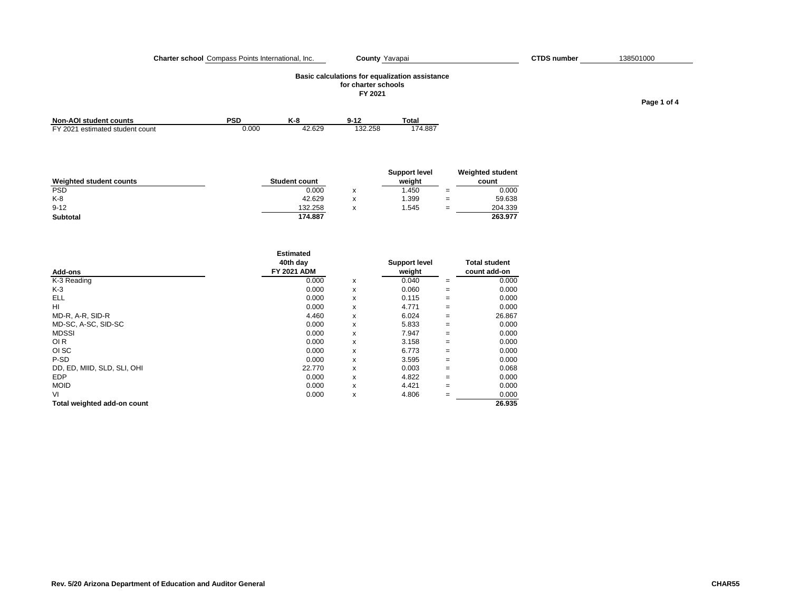#### **Charter school** Compass Points International, Inc. **County** Yavapai **COU COUNTY 1998** COUNTY **COUNTY** COUNTY **COUNTY**

## **Basic calculations for equalization assistance for charter schools**

**FY 2021**

| $\boldsymbol{v}$ | <b>0.42</b> | <b>Total</b> |  |
|------------------|-------------|--------------|--|

| Non-AOI student counts          | PSD   | K-8    | $9 - 12$ | Total   |
|---------------------------------|-------|--------|----------|---------|
| FY 2021 estimated student count | 0.000 | 42.629 | 132.258  | 174.887 |

| Weighted student counts | <b>Student count</b> |   | Support level<br>weight |     | Weighted student<br>count |
|-------------------------|----------------------|---|-------------------------|-----|---------------------------|
| <b>PSD</b>              | 0.000                | x | .450                    | $=$ | 0.000                     |
| $K-8$                   | 42.629               |   | 1.399                   | $=$ | 59.638                    |
| $9 - 12$                | 132.258              | X | .545                    | $=$ | 204.339                   |
| Subtotal                | 174.887              |   |                         |     | 263.977                   |

|                             | <b>Estimated</b><br>40th day |   | <b>Support level</b> |     | <b>Total student</b> |
|-----------------------------|------------------------------|---|----------------------|-----|----------------------|
| Add-ons                     | <b>FY 2021 ADM</b>           |   | weight               |     | count add-on         |
| K-3 Reading                 | 0.000                        | x | 0.040                | $=$ | 0.000                |
| $K-3$                       | 0.000                        | x | 0.060                | $=$ | 0.000                |
| ELL                         | 0.000                        | x | 0.115                | $=$ | 0.000                |
| HI                          | 0.000                        | x | 4.771                | $=$ | 0.000                |
| MD-R, A-R, SID-R            | 4.460                        | x | 6.024                | $=$ | 26.867               |
| MD-SC, A-SC, SID-SC         | 0.000                        | x | 5.833                | $=$ | 0.000                |
| <b>MDSSI</b>                | 0.000                        | x | 7.947                | $=$ | 0.000                |
| OI <sub>R</sub>             | 0.000                        | x | 3.158                | $=$ | 0.000                |
| OI SC                       | 0.000                        | x | 6.773                | $=$ | 0.000                |
| P-SD                        | 0.000                        | x | 3.595                | $=$ | 0.000                |
| DD, ED, MIID, SLD, SLI, OHI | 22.770                       | x | 0.003                | $=$ | 0.068                |
| <b>EDP</b>                  | 0.000                        | x | 4.822                | $=$ | 0.000                |
| <b>MOID</b>                 | 0.000                        | x | 4.421                | $=$ | 0.000                |
| VI                          | 0.000                        | x | 4.806                | $=$ | 0.000                |
| Total weighted add-on count |                              |   |                      |     | 26.935               |

## County Yavapai CTDS number 138501000

**Page 1 of 4**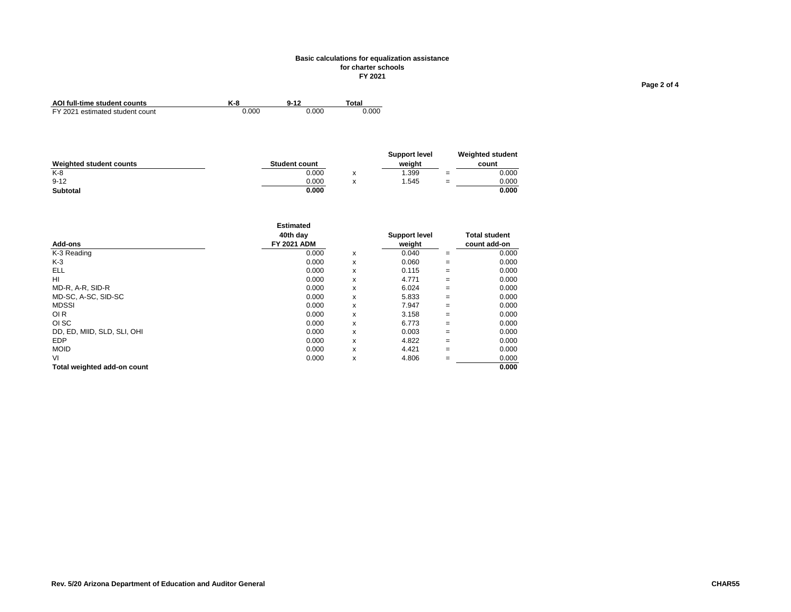#### **Basic calculations for equalization assistance for charter schools FY 2021**

| AOI full-time student counts    | K-8   | $9 - 12$ | Total |
|---------------------------------|-------|----------|-------|
| FY 2021 estimated student count | 0.000 | 0.000    | 0.000 |

|                         |                      | <b>Support level</b> |     | <b>Weighted student</b> |
|-------------------------|----------------------|----------------------|-----|-------------------------|
| Weighted student counts | <b>Student count</b> | weiaht               |     | count                   |
| $K-8$                   | 0.000                | 1.399                | $=$ | 0.000                   |
| $9 - 12$                | 0.000                | 1.545                | $=$ | 0.000                   |
| Subtotal                | 0.000                |                      |     | 0.000                   |

|                             | <b>Estimated</b>   |   |                      |     |                      |
|-----------------------------|--------------------|---|----------------------|-----|----------------------|
|                             | 40th dav           |   | <b>Support level</b> |     | <b>Total student</b> |
| Add-ons                     | <b>FY 2021 ADM</b> |   | weight               |     | count add-on         |
| K-3 Reading                 | 0.000              | x | 0.040                | $=$ | 0.000                |
| K-3                         | 0.000              | x | 0.060                | $=$ | 0.000                |
| <b>ELL</b>                  | 0.000              | x | 0.115                | $=$ | 0.000                |
| HI                          | 0.000              | x | 4.771                | $=$ | 0.000                |
| MD-R, A-R, SID-R            | 0.000              | x | 6.024                | $=$ | 0.000                |
| MD-SC, A-SC, SID-SC         | 0.000              | x | 5.833                | $=$ | 0.000                |
| <b>MDSSI</b>                | 0.000              | x | 7.947                | $=$ | 0.000                |
| OI <sub>R</sub>             | 0.000              | x | 3.158                | $=$ | 0.000                |
| OI SC                       | 0.000              | x | 6.773                | $=$ | 0.000                |
| DD, ED, MIID, SLD, SLI, OHI | 0.000              | x | 0.003                | $=$ | 0.000                |
| <b>EDP</b>                  | 0.000              | x | 4.822                | $=$ | 0.000                |
| <b>MOID</b>                 | 0.000              | x | 4.421                | $=$ | 0.000                |
| VI                          | 0.000              | x | 4.806                | $=$ | 0.000                |
| Total weighted add-on count |                    |   |                      |     | 0.000                |

**Page 2 of 4**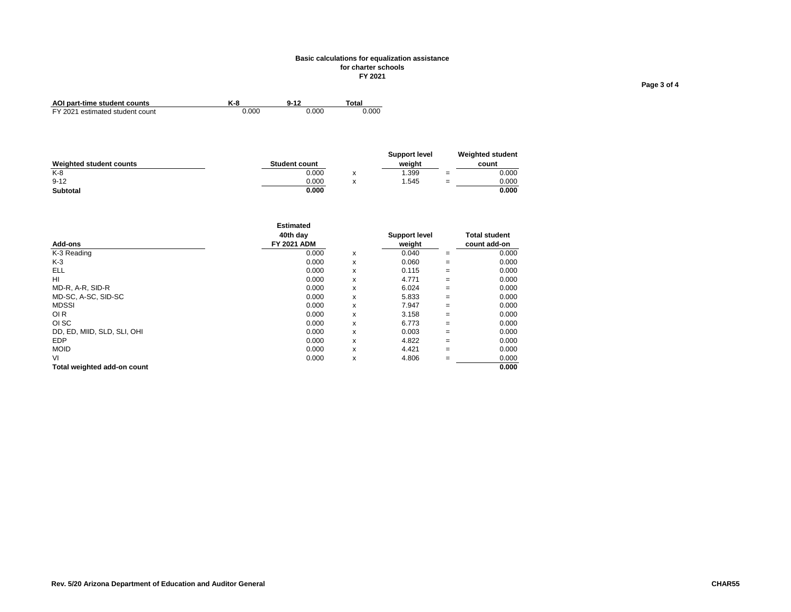#### **Basic calculations for equalization assistance for charter schools FY 2021**

| AOI part-time student counts    | K-8   | $9 - 12$ | <b>Total</b> |
|---------------------------------|-------|----------|--------------|
| FY 2021 estimated student count | 0.000 | 0.000    | 0.000        |

|                         |                      | Support level |     | <b>Weighted student</b> |
|-------------------------|----------------------|---------------|-----|-------------------------|
| Weighted student counts | <b>Student count</b> | weiaht        |     | count                   |
| $K-8$                   | 0.000                | .399          | $=$ | 0.000                   |
| $9 - 12$                | 0.000                | 1.545         | $=$ | 0.000                   |
| Subtotal                | 0.000                |               |     | 0.000                   |

|                             | <b>Estimated</b>   |   |                      |     |                      |
|-----------------------------|--------------------|---|----------------------|-----|----------------------|
|                             | 40th dav           |   | <b>Support level</b> |     | <b>Total student</b> |
| Add-ons                     | <b>FY 2021 ADM</b> |   | weight               |     | count add-on         |
| K-3 Reading                 | 0.000              | x | 0.040                | $=$ | 0.000                |
| K-3                         | 0.000              | x | 0.060                | $=$ | 0.000                |
| <b>ELL</b>                  | 0.000              | x | 0.115                | $=$ | 0.000                |
| HI                          | 0.000              | x | 4.771                | $=$ | 0.000                |
| MD-R, A-R, SID-R            | 0.000              | x | 6.024                | $=$ | 0.000                |
| MD-SC, A-SC, SID-SC         | 0.000              | x | 5.833                | $=$ | 0.000                |
| <b>MDSSI</b>                | 0.000              | x | 7.947                | $=$ | 0.000                |
| OI <sub>R</sub>             | 0.000              | x | 3.158                | $=$ | 0.000                |
| OI SC                       | 0.000              | x | 6.773                | $=$ | 0.000                |
| DD, ED, MIID, SLD, SLI, OHI | 0.000              | x | 0.003                | $=$ | 0.000                |
| <b>EDP</b>                  | 0.000              | x | 4.822                | $=$ | 0.000                |
| <b>MOID</b>                 | 0.000              | x | 4.421                | $=$ | 0.000                |
| VI                          | 0.000              | x | 4.806                | $=$ | 0.000                |
| Total weighted add-on count |                    |   |                      |     | 0.000                |

**Page 3 of 4**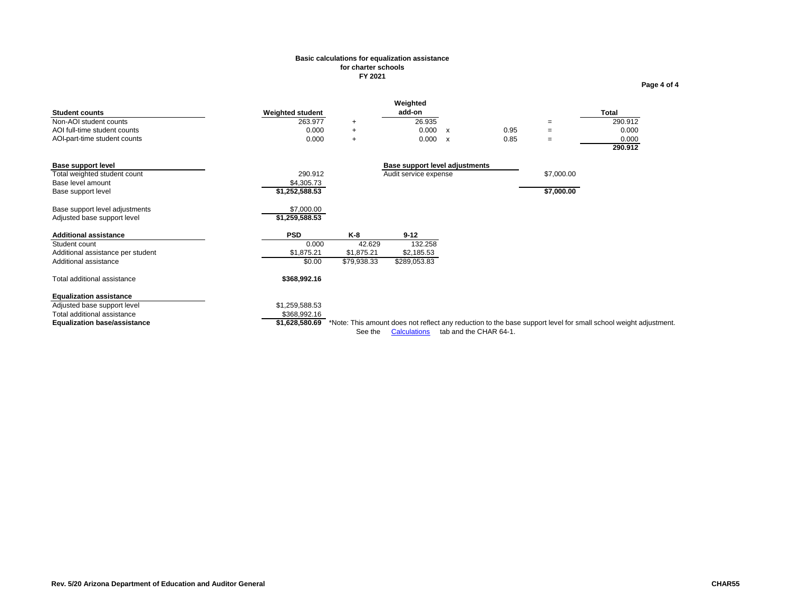## **Basic calculations for equalization assistance for charter schools FY 2021**

| <b>Student counts</b><br>Non-AOI student counts<br>AOI full-time student counts<br>AOI-part-time student counts                     | <b>Weighted student</b><br>263.977<br>0.000<br>0.000 | $^{+}$<br>$\ddot{}$<br>$\ddot{}$           | Weighted<br>add-on<br>26.935<br>0.000<br>0.000          | $\mathbf{x}$<br>$\mathsf{x}$ | 0.95<br>0.85           | $=$<br>$\equiv$<br>$\equiv$ | <b>Total</b><br>290.912<br>0.000<br>0.000<br>290.912                                                            |
|-------------------------------------------------------------------------------------------------------------------------------------|------------------------------------------------------|--------------------------------------------|---------------------------------------------------------|------------------------------|------------------------|-----------------------------|-----------------------------------------------------------------------------------------------------------------|
| <b>Base support level</b><br>Total weighted student count<br>Base level amount<br>Base support level                                | 290.912<br>\$4,305.73<br>\$1,252,588.53              |                                            | Base support level adjustments<br>Audit service expense |                              |                        | \$7,000.00<br>\$7,000.00    |                                                                                                                 |
| Base support level adjustments<br>Adjusted base support level                                                                       | \$7,000.00<br>\$1,259,588.53                         |                                            |                                                         |                              |                        |                             |                                                                                                                 |
| <b>Additional assistance</b><br>Student count<br>Additional assistance per student<br>Additional assistance                         | <b>PSD</b><br>0.000<br>\$1,875.21<br>\$0.00          | K-8<br>42.629<br>\$1,875.21<br>\$79,938.33 | $9 - 12$<br>132.258<br>\$2,185.53<br>\$289,053.83       |                              |                        |                             |                                                                                                                 |
| Total additional assistance                                                                                                         | \$368,992.16                                         |                                            |                                                         |                              |                        |                             |                                                                                                                 |
| <b>Equalization assistance</b><br>Adjusted base support level<br>Total additional assistance<br><b>Equalization base/assistance</b> | \$1,259,588.53<br>\$368,992.16<br>\$1,628,580.69     | See the                                    | <b>Calculations</b>                                     |                              | tab and the CHAR 64-1. |                             | *Note: This amount does not reflect any reduction to the base support level for small school weight adjustment. |

**Page 4 of 4**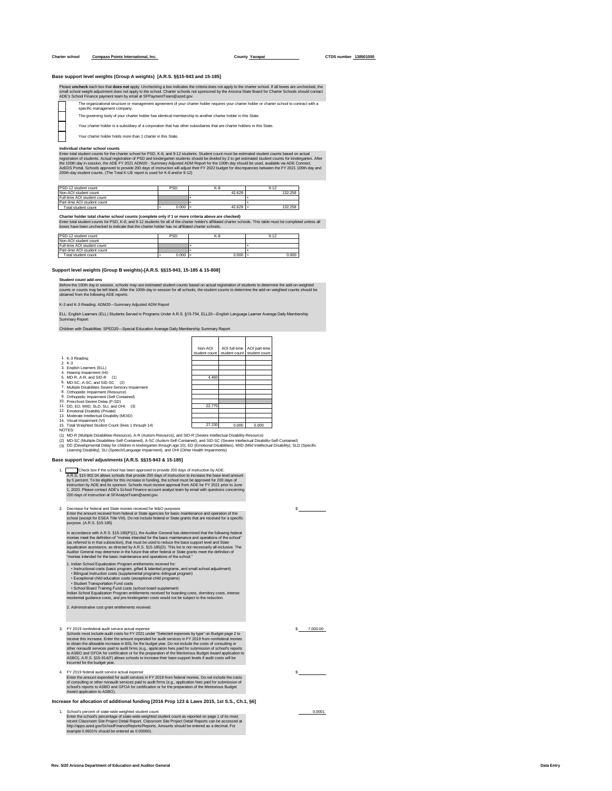#### **Charter school <b>Compass Points International, Inc. County County Yavapai COUNTY CTDS** number **138501000**

#### **Base support level weights (Group A weights) [A.R.S. §§15-943 and 15-185]**

# Please uncheck each box that does not apply Unchecking a box indicates the criteria does not apply to the charter school. If all boxes are unchecked, the<br>Small schools and schools of a school of the criteria of the criteri

П

- The governing body of your charter holder has identical membership to another charter holder in this Sta
- Your charter holder is a subsidiary of a corporation that has other subsidiaries that are charter holders in this State.

Your charter holder holds more than 1 charter in this State.

Individual charter school counts<br>Ferier total student connels for the charter school for PSD, K-8, and 9-12 students. Student count must be estimated student counts based on actual<br>registration of students. Actual registra

| PSD-12 student count        | <b>PSD</b> | K-8                 | $9 - 12$ |
|-----------------------------|------------|---------------------|----------|
| Non-AOI student count       |            | 42.629              | 132.258  |
| Full-time AOI student count |            |                     |          |
| Part-time AOI student count |            |                     |          |
| Total student count         | 0.000      | $42.629$ =<br>$l =$ | 132.258  |

Charter holder total charter school counts (complete only if 1 or more criteria above are checked)<br>Enter total student counts for PSD, K-9, and 9-12 students for all of the charter holder's affliated charter schools. This

| PSD-12 student count        | PSD   | K-8                | $9 - 12$ |
|-----------------------------|-------|--------------------|----------|
| Non-AOI student count       |       |                    |          |
| Full-time AOI student count |       |                    |          |
| Part-time AOI student count |       |                    |          |
| Total student count         | 0.000 | $0.000 =$<br>$l =$ | 0.000    |

#### **Support level weights (Group B weights) [A.R.S. §§15-943, 15-185 & 15-808]**

#### **Student count add-ons**

Before the 100th day in session, schools may use estimated student counts based on actual registration of students to determine the add-on weighted<br>counts or counts may be left blank. After the 100th day in session for all

#### K-3 and K-3 Reading: ADM20—Summary Adjusted ADM Report

ELL: English Learners (ELL) Students Served in Programs Under A.R.S. §15-754, ELL20—English Language Learner Average Daily Membership Summary Report

Children with Disabilities: SPED20—Special Education Average Daily Membership Summary Report

|                                                       | Non-AOI       | AOI full-time               | AOI part-time |
|-------------------------------------------------------|---------------|-----------------------------|---------------|
|                                                       | student count | student count student count |               |
| 1. K-3 Reading                                        |               |                             |               |
| $2. K-3$                                              |               |                             |               |
| 3. English Learners (ELL)                             |               |                             |               |
| 4. Hearing Impairment (HI)                            |               |                             |               |
| 5. MD-R, A-R, and SID-R (1)                           | 4.460         |                             |               |
| 6. MD-SC, A-SC, and SID-SC (2)                        |               |                             |               |
| 7. Multiple Disabilities Severe Sensory Impairment    |               |                             |               |
|                                                       |               |                             |               |
| 8. Orthopedic Impairment (Resource).                  |               |                             |               |
| 9. Orthopedic Impairment (Self Contained)             |               |                             |               |
| 10. Preschool-Severe Delay (P-SD)                     |               |                             |               |
| 11. DD, ED, MIID, SLD, SLI, and OHI<br>(3)            | 22.770        |                             |               |
| 12. Emotional Disability (Private)                    |               |                             |               |
| 13. Moderate Intellectual Disability (MOID).          |               |                             |               |
| 14. Visual Impairment (VI)                            |               |                             |               |
| 15. Total Weighted Student Count (lines 1 through 14) | 27.230        | 0.000                       | 0.000         |
| NOTES:                                                |               |                             |               |
|                                                       |               |                             |               |

NOTES:<br>(1) MD-R (Multiple Disabilities-Resource), A-R (Autism-Resource), and SID-R (Severe Intellectual Disability-Resource)<br>(2) MD-SC (Multiple Disabilities-Self-Contained), A-SC (Autism-Self-Contained), and SID-SC (Sever

#### **Base support level adjustments [A.R.S. §§15-943 & 15-185]**

1. A.R.S. §15-902.O4 allows schools that provide 200 days of instruction to increase the base level amount<br>by 5 percent. To be eligible for this increase in funding, the school must be approved for 200 days of instruction by Check box if the school has been approved to provide 200 days of instruction by ADE.

# 2. Decrease for federal and State monies received for M&O purposes<br>Enter the amount received from federal or State agencies for basic maintenance and operation of the<br>school (except for ESEA Title VIII). Do not include fed

In accordance with A.R.S. §15-185(P)(1), the Auditor General has determined that the following federal<br>monies meet the definition of "monies intended for the basic maintenance and operations of the school"<br>(as referred to Auditor General may determine in the future that other federal or State grants meet the definition of "monies intended for the basic maintenance and operations of the school."

- 1. Indian School Equalization Program entitlements received for:<br>• Instructional costs (basic program, gifted & talented programs, and small school adjustment)<br>• Bilingual instruction costs (supplemental programs–bilingual
- 
- 

• Student Transportation Fund costs<br>• School Board Training Fund costs (school board supplement)<br>Indian School Equalization Program entitlements received for boarding costs, dormitory costs, intense<br>residential quidance c

2. Administrative cost grant entitlements received.

3. FY 2019 nonfederal audit service actual expense \$ 7,000.00 Schools must include audit costs for FY 2021 under "Selected expenses by type" on Budget page 2 to receive this increase. Emer the amount expended for audit services in FY 2019 from nonfederal monies<br>to obtain the allowable increase in BSL for the budget year. Do not include the costs of consulting or<br>other nonaudit ser

4. FY 2019 federal audit service actual expense<br>Enter the amount expended for audit services in FY 2019 from federal monies. Do not include the costs<br>of consulting or other nonaudit services paid to audit firms (e.g., appl

## **Increase for allocation of additional funding [2016 Prop 123 & Laws 2015, 1st S.S., Ch.1, §6]**

1. School's percent of state-wide weighted student count<br>Enter the school's percentage of state-wide weighted student count as reported on page 1 of its most<br>recent Classroom Site Project Detail Report. Classroom Site Proj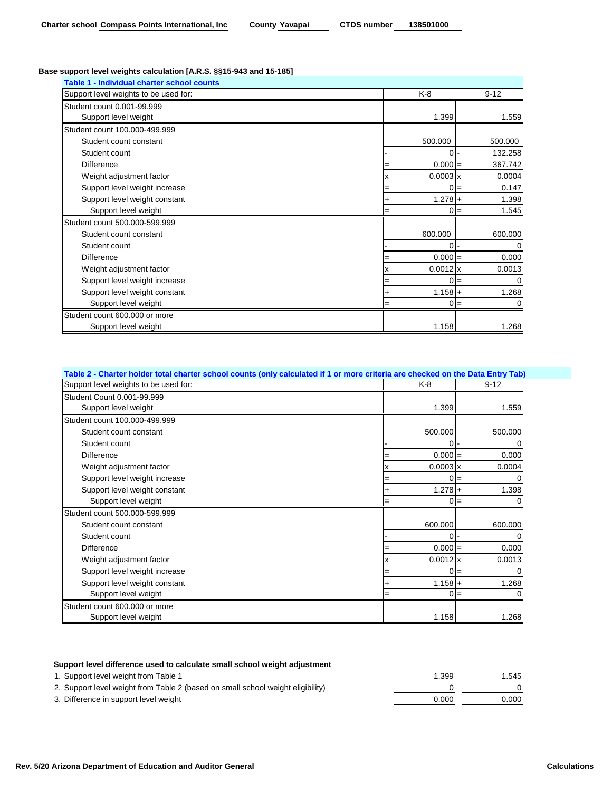# **Base support level weights calculation [A.R.S. §§15-943 and 15-185]**

| Table 1 - Individual charter school counts |     |                 |                |
|--------------------------------------------|-----|-----------------|----------------|
| Support level weights to be used for:      |     | K-8             | $9 - 12$       |
| Student count 0.001-99.999                 |     |                 |                |
| Support level weight                       |     | 1.399           | 1.559          |
| Student count 100.000-499.999              |     |                 |                |
| Student count constant                     |     | 500.000         | 500.000        |
| Student count                              |     | ٥I۰             | 132.258        |
| <b>Difference</b>                          |     | $0.000 =$       | 367.742        |
| Weight adjustment factor                   |     | $0.0003 \times$ | 0.0004         |
| Support level weight increase              | =   |                 | 0.147<br>$0 =$ |
| Support level weight constant              | ٠   | $1.278 +$       | 1.398          |
| Support level weight                       | $=$ |                 | 1.545<br>$0 =$ |
| Student count 500.000-599.999              |     |                 |                |
| Student count constant                     |     | 600.000         | 600.000        |
| Student count                              |     | o               | 0              |
| <b>Difference</b>                          | $=$ | $0.000 =$       | 0.000          |
| Weight adjustment factor                   |     | $0.0012$ x      | 0.0013         |
| Support level weight increase              | $=$ |                 | 0<br>$0 =$     |
| Support level weight constant              |     | $1.158 +$       | 1.268          |
| Support level weight                       | $=$ | 0               | $=$            |
| Student count 600,000 or more              |     |                 |                |
| Support level weight                       |     | 1.158           | 1.268          |

| Table 2 - Charter holder total charter school counts (only calculated if 1 or more criteria are checked on the Data Entry Tab) |     |                 |          |        |
|--------------------------------------------------------------------------------------------------------------------------------|-----|-----------------|----------|--------|
| Support level weights to be used for:                                                                                          | K-8 |                 | $9 - 12$ |        |
| Student Count 0.001-99.999                                                                                                     |     |                 |          |        |
| Support level weight                                                                                                           |     | 1.399           |          | 1.559  |
| Student count 100.000-499.999                                                                                                  |     |                 |          |        |
| Student count constant                                                                                                         |     | 500.000         | 500.000  |        |
| Student count                                                                                                                  |     | 0               |          |        |
| <b>Difference</b>                                                                                                              |     | $0.000 =$       |          | 0.000  |
| Weight adjustment factor                                                                                                       | x   | $0.0003 \times$ |          | 0.0004 |
| Support level weight increase                                                                                                  | =   | ი               | $=$      |        |
| Support level weight constant                                                                                                  |     | $1.278 +$       |          | 1.398  |
| Support level weight                                                                                                           | =   | ი               | $=$      |        |
| Student count 500.000-599.999                                                                                                  |     |                 |          |        |
| Student count constant                                                                                                         |     | 600.000         | 600.000  |        |
| Student count                                                                                                                  |     | U               |          |        |
| <b>Difference</b>                                                                                                              |     | $0.000 =$       |          | 0.000  |
| Weight adjustment factor                                                                                                       | x   | $0.0012$ x      |          | 0.0013 |
| Support level weight increase                                                                                                  | =   |                 | $=$      |        |
| Support level weight constant                                                                                                  |     | $1.158 +$       |          | 1.268  |
| Support level weight                                                                                                           | $=$ | 0               | $=$      |        |
| Student count 600,000 or more                                                                                                  |     |                 |          |        |
| Support level weight                                                                                                           |     | 1.158           |          | 1.268  |

# **Support level difference used to calculate small school weight adjustment**

| 1. Support level weight from Table 1                                            | 1.399 | 1.545 |
|---------------------------------------------------------------------------------|-------|-------|
| 2. Support level weight from Table 2 (based on small school weight eligibility) |       |       |
| 3. Difference in support level weight                                           | 0.000 | 0.000 |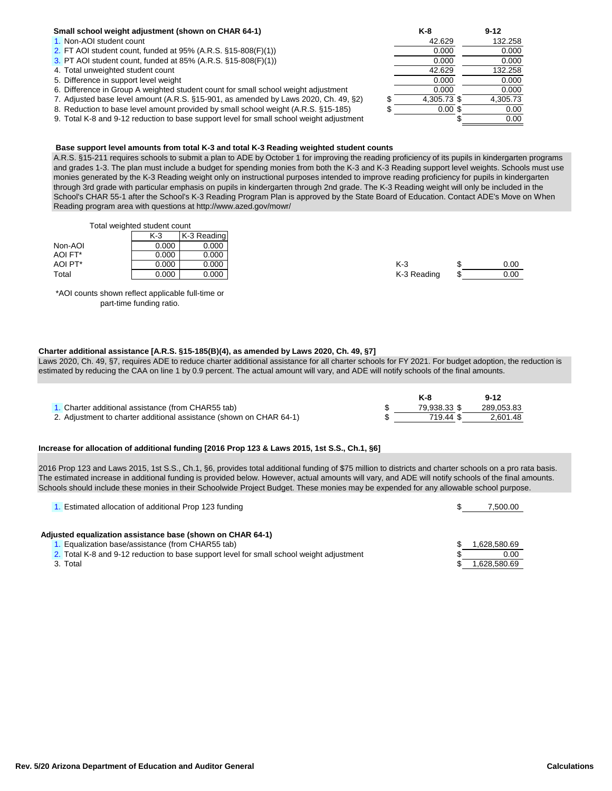# **Small school weight adjustment (shown on CHAR 64-1)**

- 1. Non-AOI student count
- 2. FT AOI student count, funded at  $95\%$  (A.R.S.  $§15-808(F)(1)$ )
- 3. PT AOI student count, funded at 85% (A.R.S.  $§15-808(F)(1)$ )
- 4. Total unweighted student count
- 5. Difference in support level weight
- 6. Difference in Group A weighted student count for small school weight adjustment
- 7. Adjusted base level amount (A.R.S. §15-901, as amended by Laws 2020, Ch. 49, §2)
- 8. Reduction to base level amount provided by small school weight (A.R.S. §15-185)
- 9. Total K-8 and 9-12 reduction to base support level for small school weight adjustment

# **Base support level amounts from total K-3 and total K-3 Reading weighted student counts**

A.R.S. §15-211 requires schools to submit a plan to ADE by October 1 for improving the reading proficiency of its pupils in kindergarten programs and grades 1-3. The plan must include a budget for spending monies from both the K-3 and K-3 Reading support level weights. Schools must use monies generated by the K-3 Reading weight only on instructional purposes intended to improve reading proficiency for pupils in kindergarten through 3rd grade with particular emphasis on pupils in kindergarten through 2nd grade. The K-3 Reading weight will only be included in the School's CHAR 55-1 after the School's K-3 Reading Program Plan is approved by the State Board of Education. Contact ADE's Move on When Reading program area with questions at http://www.azed.gov/mowr/

Total weighted student count

|         | K-3   | K-3 Reading |             |      |
|---------|-------|-------------|-------------|------|
| Non-AOI | 0.000 | 0.000       |             |      |
| AOI FT* | 0.000 | 0.000       |             |      |
| AOI PT* | 0.000 | 0.000       | $K-3$       | 0.00 |
| Total   | 0.000 | 0.000       | K-3 Reading | 0.00 |

\*AOI counts shown reflect applicable full-time or part-time funding ratio.

# **Charter additional assistance [A.R.S. §15-185(B)(4), as amended by Laws 2020, Ch. 49, §7]**

Laws 2020, Ch. 49, §7, requires ADE to reduce charter additional assistance for all charter schools for FY 2021. For budget adoption, the reduction is estimated by reducing the CAA on line 1 by 0.9 percent. The actual amount will vary, and ADE will notify schools of the final amounts.

|                                                                     |              | $9 - 12$   |
|---------------------------------------------------------------------|--------------|------------|
| 1. Charter additional assistance (from CHAR55 tab)                  | 79.938.33 \$ | 289.053.83 |
| 2. Adjustment to charter additional assistance (shown on CHAR 64-1) | 719.44 \$    | 2.601.48   |

## **Increase for allocation of additional funding [2016 Prop 123 & Laws 2015, 1st S.S., Ch.1, §6]**

2016 Prop 123 and Laws 2015, 1st S.S., Ch.1, §6, provides total additional funding of \$75 million to districts and charter schools on a pro rata basis. The estimated increase in additional funding is provided below. However, actual amounts will vary, and ADE will notify schools of the final amounts. Schools should include these monies in their Schoolwide Project Budget. These monies may be expended for any allowable school purpose.

| . Estimated allocation of additional Prop 123 funding                                    | 7.500.00    |
|------------------------------------------------------------------------------------------|-------------|
|                                                                                          |             |
| Adjusted equalization assistance base (shown on CHAR 64-1)                               |             |
| . Equalization base/assistance (from CHAR55 tab)                                         | .628,580.69 |
| 2. Total K-8 and 9-12 reduction to base support level for small school weight adjustment | 0.00        |
| 3. Total                                                                                 | .628.580.69 |

**Rev. 5/20 Arizona Department of Education and Auditor General Calculations**

|          | K-8         | $9 - 12$ |
|----------|-------------|----------|
|          | 42.629      | 132.258  |
|          | 0.000       | 0.000    |
|          | 0.000       | 0.000    |
|          | 42.629      | 132.258  |
|          | 0.000       | 0.000    |
|          | 0.000       | 0.000    |
| \$<br>\$ | 4,305.73 \$ | 4,305.73 |
|          | $0.00$ \$   | 0.00     |
|          | Ŧ           | 0.00     |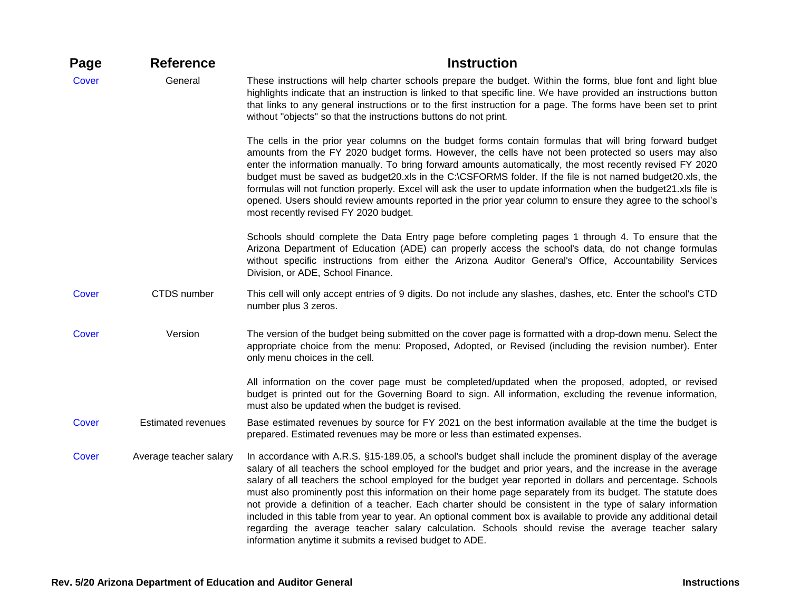| Page  | <b>Reference</b>          | <b>Instruction</b>                                                                                                                                                                                                                                                                                                                                                                                                                                                                                                                                                                                                                                                                                                                                                                                                                                      |
|-------|---------------------------|---------------------------------------------------------------------------------------------------------------------------------------------------------------------------------------------------------------------------------------------------------------------------------------------------------------------------------------------------------------------------------------------------------------------------------------------------------------------------------------------------------------------------------------------------------------------------------------------------------------------------------------------------------------------------------------------------------------------------------------------------------------------------------------------------------------------------------------------------------|
| Cover | General                   | These instructions will help charter schools prepare the budget. Within the forms, blue font and light blue<br>highlights indicate that an instruction is linked to that specific line. We have provided an instructions button<br>that links to any general instructions or to the first instruction for a page. The forms have been set to print<br>without "objects" so that the instructions buttons do not print.                                                                                                                                                                                                                                                                                                                                                                                                                                  |
|       |                           | The cells in the prior year columns on the budget forms contain formulas that will bring forward budget<br>amounts from the FY 2020 budget forms. However, the cells have not been protected so users may also<br>enter the information manually. To bring forward amounts automatically, the most recently revised FY 2020<br>budget must be saved as budget20.xls in the C:\CSFORMS folder. If the file is not named budget20.xls, the<br>formulas will not function properly. Excel will ask the user to update information when the budget21.xls file is<br>opened. Users should review amounts reported in the prior year column to ensure they agree to the school's<br>most recently revised FY 2020 budget.                                                                                                                                     |
|       |                           | Schools should complete the Data Entry page before completing pages 1 through 4. To ensure that the<br>Arizona Department of Education (ADE) can properly access the school's data, do not change formulas<br>without specific instructions from either the Arizona Auditor General's Office, Accountability Services<br>Division, or ADE, School Finance.                                                                                                                                                                                                                                                                                                                                                                                                                                                                                              |
| Cover | CTDS number               | This cell will only accept entries of 9 digits. Do not include any slashes, dashes, etc. Enter the school's CTD<br>number plus 3 zeros.                                                                                                                                                                                                                                                                                                                                                                                                                                                                                                                                                                                                                                                                                                                 |
| Cover | Version                   | The version of the budget being submitted on the cover page is formatted with a drop-down menu. Select the<br>appropriate choice from the menu: Proposed, Adopted, or Revised (including the revision number). Enter<br>only menu choices in the cell.                                                                                                                                                                                                                                                                                                                                                                                                                                                                                                                                                                                                  |
|       |                           | All information on the cover page must be completed/updated when the proposed, adopted, or revised<br>budget is printed out for the Governing Board to sign. All information, excluding the revenue information,<br>must also be updated when the budget is revised.                                                                                                                                                                                                                                                                                                                                                                                                                                                                                                                                                                                    |
| Cover | <b>Estimated revenues</b> | Base estimated revenues by source for FY 2021 on the best information available at the time the budget is<br>prepared. Estimated revenues may be more or less than estimated expenses.                                                                                                                                                                                                                                                                                                                                                                                                                                                                                                                                                                                                                                                                  |
| Cover | Average teacher salary    | In accordance with A.R.S. §15-189.05, a school's budget shall include the prominent display of the average<br>salary of all teachers the school employed for the budget and prior years, and the increase in the average<br>salary of all teachers the school employed for the budget year reported in dollars and percentage. Schools<br>must also prominently post this information on their home page separately from its budget. The statute does<br>not provide a definition of a teacher. Each charter should be consistent in the type of salary information<br>included in this table from year to year. An optional comment box is available to provide any additional detail<br>regarding the average teacher salary calculation. Schools should revise the average teacher salary<br>information anytime it submits a revised budget to ADE. |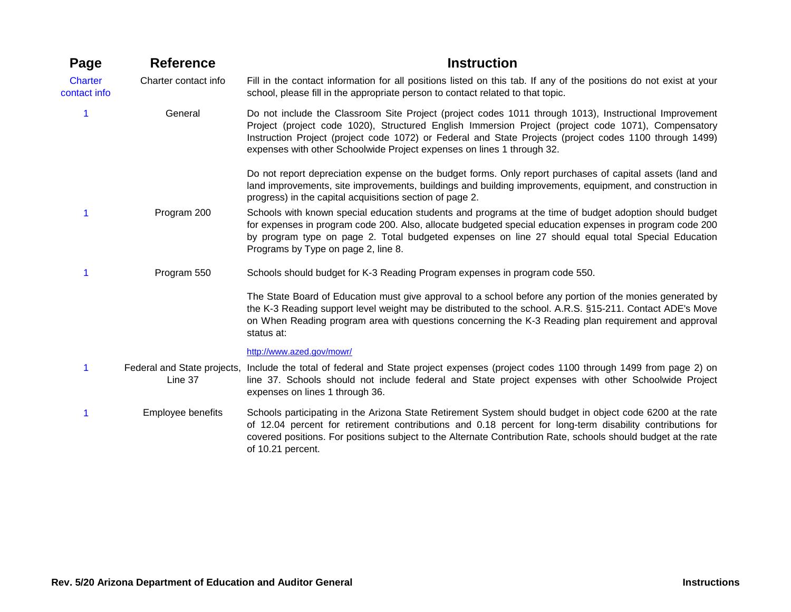| Page                           | <b>Reference</b>     | <b>Instruction</b>                                                                                                                                                                                                                                                                                                                                                                                 |
|--------------------------------|----------------------|----------------------------------------------------------------------------------------------------------------------------------------------------------------------------------------------------------------------------------------------------------------------------------------------------------------------------------------------------------------------------------------------------|
| <b>Charter</b><br>contact info | Charter contact info | Fill in the contact information for all positions listed on this tab. If any of the positions do not exist at your<br>school, please fill in the appropriate person to contact related to that topic.                                                                                                                                                                                              |
| 1                              | General              | Do not include the Classroom Site Project (project codes 1011 through 1013), Instructional Improvement<br>Project (project code 1020), Structured English Immersion Project (project code 1071), Compensatory<br>Instruction Project (project code 1072) or Federal and State Projects (project codes 1100 through 1499)<br>expenses with other Schoolwide Project expenses on lines 1 through 32. |
|                                |                      | Do not report depreciation expense on the budget forms. Only report purchases of capital assets (land and<br>land improvements, site improvements, buildings and building improvements, equipment, and construction in<br>progress) in the capital acquisitions section of page 2.                                                                                                                 |
|                                | Program 200          | Schools with known special education students and programs at the time of budget adoption should budget<br>for expenses in program code 200. Also, allocate budgeted special education expenses in program code 200<br>by program type on page 2. Total budgeted expenses on line 27 should equal total Special Education<br>Programs by Type on page 2, line 8.                                   |
|                                | Program 550          | Schools should budget for K-3 Reading Program expenses in program code 550.                                                                                                                                                                                                                                                                                                                        |
|                                |                      | The State Board of Education must give approval to a school before any portion of the monies generated by<br>the K-3 Reading support level weight may be distributed to the school. A.R.S. §15-211. Contact ADE's Move<br>on When Reading program area with questions concerning the K-3 Reading plan requirement and approval<br>status at:                                                       |
|                                |                      | http://www.azed.gov/mowr/                                                                                                                                                                                                                                                                                                                                                                          |
| 1                              | Line 37              | Federal and State projects, Include the total of federal and State project expenses (project codes 1100 through 1499 from page 2) on<br>line 37. Schools should not include federal and State project expenses with other Schoolwide Project<br>expenses on lines 1 through 36.                                                                                                                    |
|                                | Employee benefits    | Schools participating in the Arizona State Retirement System should budget in object code 6200 at the rate<br>of 12.04 percent for retirement contributions and 0.18 percent for long-term disability contributions for<br>covered positions. For positions subject to the Alternate Contribution Rate, schools should budget at the rate<br>of 10.21 percent.                                     |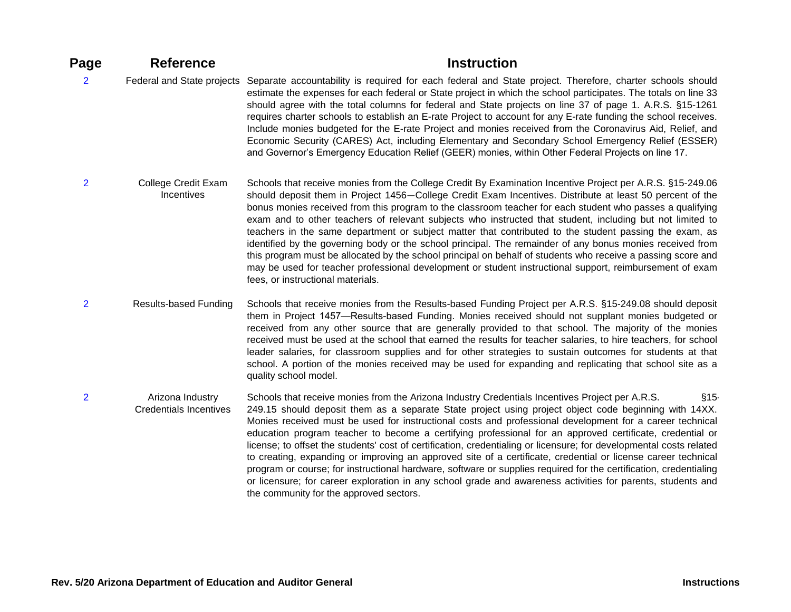| Page           | <b>Reference</b>                                  | <b>Instruction</b>                                                                                                                                                                                                                                                                                                                                                                                                                                                                                                                                                                                                                                                                                                                                                                                                                                                                                                                                             |
|----------------|---------------------------------------------------|----------------------------------------------------------------------------------------------------------------------------------------------------------------------------------------------------------------------------------------------------------------------------------------------------------------------------------------------------------------------------------------------------------------------------------------------------------------------------------------------------------------------------------------------------------------------------------------------------------------------------------------------------------------------------------------------------------------------------------------------------------------------------------------------------------------------------------------------------------------------------------------------------------------------------------------------------------------|
| $\overline{2}$ | Federal and State projects                        | Separate accountability is required for each federal and State project. Therefore, charter schools should<br>estimate the expenses for each federal or State project in which the school participates. The totals on line 33<br>should agree with the total columns for federal and State projects on line 37 of page 1. A.R.S. §15-1261<br>requires charter schools to establish an E-rate Project to account for any E-rate funding the school receives.<br>Include monies budgeted for the E-rate Project and monies received from the Coronavirus Aid, Relief, and<br>Economic Security (CARES) Act, including Elementary and Secondary School Emergency Relief (ESSER)<br>and Governor's Emergency Education Relief (GEER) monies, within Other Federal Projects on line 17.                                                                                                                                                                              |
| $\overline{2}$ | College Credit Exam<br>Incentives                 | Schools that receive monies from the College Credit By Examination Incentive Project per A.R.S. §15-249.06<br>should deposit them in Project 1456–College Credit Exam Incentives. Distribute at least 50 percent of the<br>bonus monies received from this program to the classroom teacher for each student who passes a qualifying<br>exam and to other teachers of relevant subjects who instructed that student, including but not limited to<br>teachers in the same department or subject matter that contributed to the student passing the exam, as<br>identified by the governing body or the school principal. The remainder of any bonus monies received from<br>this program must be allocated by the school principal on behalf of students who receive a passing score and<br>may be used for teacher professional development or student instructional support, reimbursement of exam<br>fees, or instructional materials.                      |
| $\overline{2}$ | <b>Results-based Funding</b>                      | Schools that receive monies from the Results-based Funding Project per A.R.S. §15-249.08 should deposit<br>them in Project 1457—Results-based Funding. Monies received should not supplant monies budgeted or<br>received from any other source that are generally provided to that school. The majority of the monies<br>received must be used at the school that earned the results for teacher salaries, to hire teachers, for school<br>leader salaries, for classroom supplies and for other strategies to sustain outcomes for students at that<br>school. A portion of the monies received may be used for expanding and replicating that school site as a<br>quality school model.                                                                                                                                                                                                                                                                     |
| $\overline{2}$ | Arizona Industry<br><b>Credentials Incentives</b> | Schools that receive monies from the Arizona Industry Credentials Incentives Project per A.R.S.<br>§15<br>249.15 should deposit them as a separate State project using project object code beginning with 14XX.<br>Monies received must be used for instructional costs and professional development for a career technical<br>education program teacher to become a certifying professional for an approved certificate, credential or<br>license; to offset the students' cost of certification, credentialing or licensure; for developmental costs related<br>to creating, expanding or improving an approved site of a certificate, credential or license career technical<br>program or course; for instructional hardware, software or supplies required for the certification, credentialing<br>or licensure; for career exploration in any school grade and awareness activities for parents, students and<br>the community for the approved sectors. |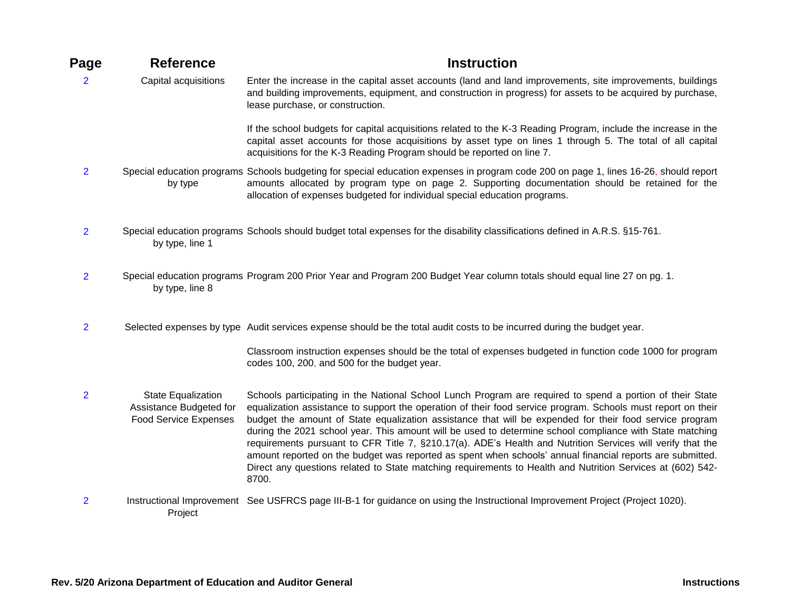| Page           | <b>Reference</b>                                                       | <b>Instruction</b>                                                                                                                                                                                                                                                                                                                                                                                                                                                                                                                                                                                                                                                                                                                                                                                 |
|----------------|------------------------------------------------------------------------|----------------------------------------------------------------------------------------------------------------------------------------------------------------------------------------------------------------------------------------------------------------------------------------------------------------------------------------------------------------------------------------------------------------------------------------------------------------------------------------------------------------------------------------------------------------------------------------------------------------------------------------------------------------------------------------------------------------------------------------------------------------------------------------------------|
| $\overline{2}$ | Capital acquisitions                                                   | Enter the increase in the capital asset accounts (land and land improvements, site improvements, buildings<br>and building improvements, equipment, and construction in progress) for assets to be acquired by purchase,<br>lease purchase, or construction.                                                                                                                                                                                                                                                                                                                                                                                                                                                                                                                                       |
|                |                                                                        | If the school budgets for capital acquisitions related to the K-3 Reading Program, include the increase in the<br>capital asset accounts for those acquisitions by asset type on lines 1 through 5. The total of all capital<br>acquisitions for the K-3 Reading Program should be reported on line 7.                                                                                                                                                                                                                                                                                                                                                                                                                                                                                             |
| $\overline{2}$ | by type                                                                | Special education programs Schools budgeting for special education expenses in program code 200 on page 1, lines 16-26, should report<br>amounts allocated by program type on page 2. Supporting documentation should be retained for the<br>allocation of expenses budgeted for individual special education programs.                                                                                                                                                                                                                                                                                                                                                                                                                                                                            |
| $\overline{2}$ | by type, line 1                                                        | Special education programs Schools should budget total expenses for the disability classifications defined in A.R.S. §15-761.                                                                                                                                                                                                                                                                                                                                                                                                                                                                                                                                                                                                                                                                      |
| $\overline{2}$ | by type, line 8                                                        | Special education programs Program 200 Prior Year and Program 200 Budget Year column totals should equal line 27 on pg. 1.                                                                                                                                                                                                                                                                                                                                                                                                                                                                                                                                                                                                                                                                         |
| $\overline{2}$ |                                                                        | Selected expenses by type Audit services expense should be the total audit costs to be incurred during the budget year.                                                                                                                                                                                                                                                                                                                                                                                                                                                                                                                                                                                                                                                                            |
|                |                                                                        | Classroom instruction expenses should be the total of expenses budgeted in function code 1000 for program<br>codes 100, 200, and 500 for the budget year.                                                                                                                                                                                                                                                                                                                                                                                                                                                                                                                                                                                                                                          |
| $\overline{2}$ | State Equalization<br>Assistance Budgeted for<br>Food Service Expenses | Schools participating in the National School Lunch Program are required to spend a portion of their State<br>equalization assistance to support the operation of their food service program. Schools must report on their<br>budget the amount of State equalization assistance that will be expended for their food service program<br>during the 2021 school year. This amount will be used to determine school compliance with State matching<br>requirements pursuant to CFR Title 7, §210.17(a). ADE's Health and Nutrition Services will verify that the<br>amount reported on the budget was reported as spent when schools' annual financial reports are submitted.<br>Direct any questions related to State matching requirements to Health and Nutrition Services at (602) 542-<br>8700. |
| $\overline{2}$ | Project                                                                | Instructional Improvement See USFRCS page III-B-1 for guidance on using the Instructional Improvement Project (Project 1020).                                                                                                                                                                                                                                                                                                                                                                                                                                                                                                                                                                                                                                                                      |